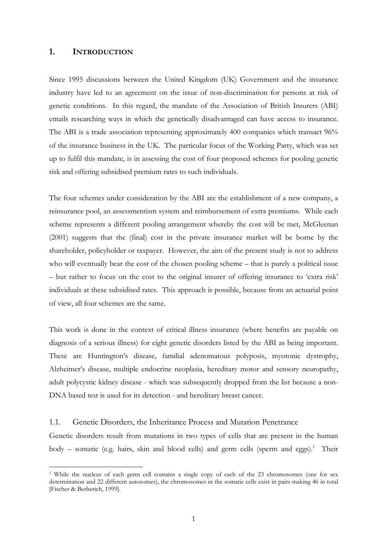## **1. INTRODUCTION**

 $\overline{a}$ 

Since 1995 discussions between the United Kingdom (UK) Government and the insurance industry have led to an agreement on the issue of non-discrimination for persons at risk of genetic conditions. In this regard, the mandate of the Association of British Insurers (ABI) entails researching ways in which the genetically disadvantaged can have access to insurance. The ABI is a trade association representing approximately 400 companies which transact 96% of the insurance business in the UK. The particular focus of the Working Party, which was set up to fulfil this mandate, is in assessing the cost of four proposed schemes for pooling genetic risk and offering subsidised premium rates to such individuals.

The four schemes under consideration by the ABI are the establishment of a new company, a reinsurance pool, an assessmentism system and reimbursement of extra premiums. While each scheme represents a different pooling arrangement whereby the cost will be met, McGleenan (2001) suggests that the (final) cost in the private insurance market will be borne by the shareholder, policyholder or taxpayer. However, the aim of the present study is not to address who will eventually bear the cost of the chosen pooling scheme – that is purely a political issue – but rather to focus on the cost to the original insurer of offering insurance to 'extra risk' individuals at these subsidised rates. This approach is possible, because from an actuarial point of view, all four schemes are the same.

This work is done in the context of critical illness insurance (where benefits are payable on diagnosis of a serious illness) for eight genetic disorders listed by the ABI as being important. These are Huntington's disease, familial adenomatous polyposis, myotonic dystrophy, Alzheimer's disease, multiple endocrine neoplasia, hereditary motor and sensory neuropathy, adult polycystic kidney disease - which was subsequently dropped from the list because a non-DNA based test is used for its detection - and hereditary breast cancer.

#### 1.1. Genetic Disorders, the Inheritance Process and Mutation Penetrance

Genetic disorders result from mutations in two types of cells that are present in the human body – somatic (e.g. hairs, skin and blood cells) and germ cells (sperm and eggs).<sup>[1](#page-0-0)</sup> Their

<span id="page-0-0"></span><sup>1</sup> While the nucleus of each germ cell contains a single copy of each of the 23 chromosomes (one for sex determination and 22 different autosomes), the chromosomes in the somatic cells exist in pairs making 46 in total [Fischer & Berberich, 1999].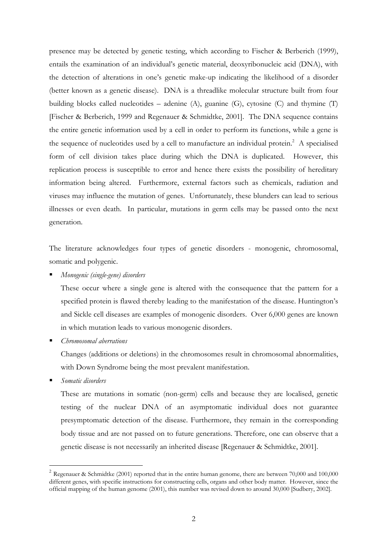presence may be detected by genetic testing, which according to Fischer & Berberich (1999), entails the examination of an individual's genetic material, deoxyribonucleic acid (DNA), with the detection of alterations in one's genetic make-up indicating the likelihood of a disorder (better known as a genetic disease). DNA is a threadlike molecular structure built from four building blocks called nucleotides – adenine (A), guanine (G), cytosine (C) and thymine (T) [Fischer & Berberich, 1999 and Regenauer & Schmidtke, 2001]. The DNA sequence contains the entire genetic information used by a cell in order to perform its functions, while a gene is the sequence of nucleotides used by a cell to manufacture an individual protein.<sup>2</sup> A specialised form of cell division takes place during which the DNA is duplicated. However, this replication process is susceptible to error and hence there exists the possibility of hereditary information being altered. Furthermore, external factors such as chemicals, radiation and viruses may influence the mutation of genes. Unfortunately, these blunders can lead to serious illnesses or even death. In particular, mutations in germ cells may be passed onto the next generation.

The literature acknowledges four types of genetic disorders - monogenic, chromosomal, somatic and polygenic.

*Monogenic (single-gene) disorders* 

These occur where a single gene is altered with the consequence that the pattern for a specified protein is flawed thereby leading to the manifestation of the disease. Huntington's and Sickle cell diseases are examples of monogenic disorders. Over 6,000 genes are known in which mutation leads to various monogenic disorders.

*Chromosomal aberrations* 

Changes (additions or deletions) in the chromosomes result in chromosomal abnormalities, with Down Syndrome being the most prevalent manifestation.

*Somatic disorders* 

 $\overline{a}$ 

These are mutations in somatic (non-germ) cells and because they are localised, genetic testing of the nuclear DNA of an asymptomatic individual does not guarantee presymptomatic detection of the disease. Furthermore, they remain in the corresponding body tissue and are not passed on to future generations. Therefore, one can observe that a genetic disease is not necessarily an inherited disease [Regenauer & Schmidtke, 2001].

<span id="page-1-0"></span><sup>&</sup>lt;sup>2</sup> Regenauer & Schmidtke (2001) reported that in the entire human genome, there are between 70,000 and 100,000 different genes, with specific instructions for constructing cells, organs and other body matter. However, since the official mapping of the human genome (2001), this number was revised down to around 30,000 [Sudbery, 2002].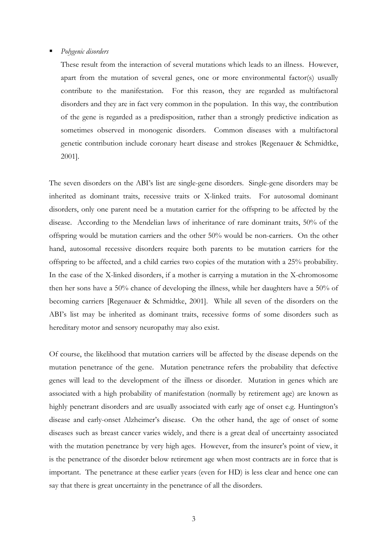#### *Polygenic disorders*

These result from the interaction of several mutations which leads to an illness. However, apart from the mutation of several genes, one or more environmental factor(s) usually contribute to the manifestation. For this reason, they are regarded as multifactoral disorders and they are in fact very common in the population. In this way, the contribution of the gene is regarded as a predisposition, rather than a strongly predictive indication as sometimes observed in monogenic disorders. Common diseases with a multifactoral genetic contribution include coronary heart disease and strokes [Regenauer & Schmidtke, 2001].

The seven disorders on the ABI's list are single-gene disorders. Single-gene disorders may be inherited as dominant traits, recessive traits or X-linked traits. For autosomal dominant disorders, only one parent need be a mutation carrier for the offspring to be affected by the disease. According to the Mendelian laws of inheritance of rare dominant traits, 50% of the offspring would be mutation carriers and the other 50% would be non-carriers. On the other hand, autosomal recessive disorders require both parents to be mutation carriers for the offspring to be affected, and a child carries two copies of the mutation with a 25% probability. In the case of the X-linked disorders, if a mother is carrying a mutation in the X-chromosome then her sons have a 50% chance of developing the illness, while her daughters have a 50% of becoming carriers [Regenauer & Schmidtke, 2001]. While all seven of the disorders on the ABI's list may be inherited as dominant traits, recessive forms of some disorders such as hereditary motor and sensory neuropathy may also exist.

Of course, the likelihood that mutation carriers will be affected by the disease depends on the mutation penetrance of the gene. Mutation penetrance refers the probability that defective genes will lead to the development of the illness or disorder. Mutation in genes which are associated with a high probability of manifestation (normally by retirement age) are known as highly penetrant disorders and are usually associated with early age of onset e.g. Huntington's disease and early-onset Alzheimer's disease. On the other hand, the age of onset of some diseases such as breast cancer varies widely, and there is a great deal of uncertainty associated with the mutation penetrance by very high ages. However, from the insurer's point of view, it is the penetrance of the disorder below retirement age when most contracts are in force that is important. The penetrance at these earlier years (even for HD) is less clear and hence one can say that there is great uncertainty in the penetrance of all the disorders.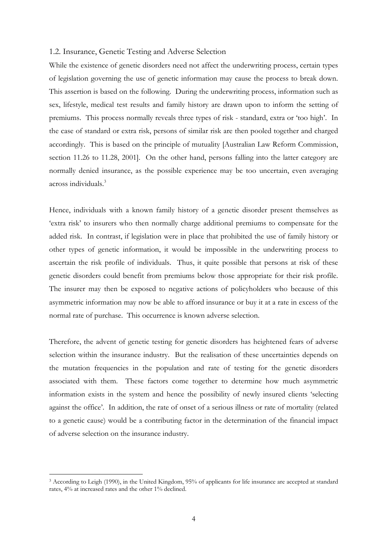#### 1.2. Insurance, Genetic Testing and Adverse Selection

While the existence of genetic disorders need not affect the underwriting process, certain types of legislation governing the use of genetic information may cause the process to break down. This assertion is based on the following. During the underwriting process, information such as sex, lifestyle, medical test results and family history are drawn upon to inform the setting of premiums. This process normally reveals three types of risk - standard, extra or 'too high'. In the case of standard or extra risk, persons of similar risk are then pooled together and charged accordingly. This is based on the principle of mutuality [Australian Law Reform Commission, section 11.26 to 11.28, 2001]. On the other hand, persons falling into the latter category are normally denied insurance, as the possible experience may be too uncertain, even averaging across individuals.[3](#page-3-0)

Hence, individuals with a known family history of a genetic disorder present themselves as 'extra risk' to insurers who then normally charge additional premiums to compensate for the added risk. In contrast, if legislation were in place that prohibited the use of family history or other types of genetic information, it would be impossible in the underwriting process to ascertain the risk profile of individuals. Thus, it quite possible that persons at risk of these genetic disorders could benefit from premiums below those appropriate for their risk profile. The insurer may then be exposed to negative actions of policyholders who because of this asymmetric information may now be able to afford insurance or buy it at a rate in excess of the normal rate of purchase. This occurrence is known adverse selection.

Therefore, the advent of genetic testing for genetic disorders has heightened fears of adverse selection within the insurance industry. But the realisation of these uncertainties depends on the mutation frequencies in the population and rate of testing for the genetic disorders associated with them. These factors come together to determine how much asymmetric information exists in the system and hence the possibility of newly insured clients 'selecting against the office'. In addition, the rate of onset of a serious illness or rate of mortality (related to a genetic cause) would be a contributing factor in the determination of the financial impact of adverse selection on the insurance industry.

 $\overline{a}$ 

<span id="page-3-0"></span><sup>3</sup> According to Leigh (1990), in the United Kingdom, 95% of applicants for life insurance are accepted at standard rates, 4% at increased rates and the other 1% declined.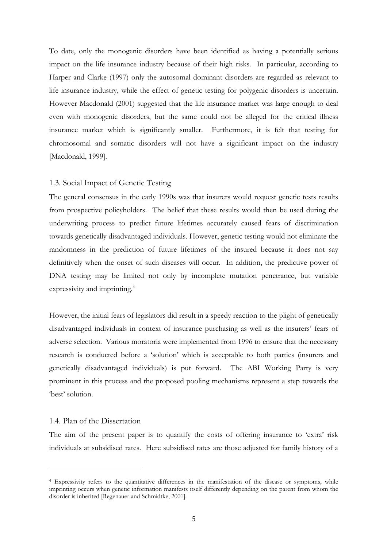To date, only the monogenic disorders have been identified as having a potentially serious impact on the life insurance industry because of their high risks. In particular, according to Harper and Clarke (1997) only the autosomal dominant disorders are regarded as relevant to life insurance industry, while the effect of genetic testing for polygenic disorders is uncertain. However Macdonald (2001) suggested that the life insurance market was large enough to deal even with monogenic disorders, but the same could not be alleged for the critical illness insurance market which is significantly smaller. Furthermore, it is felt that testing for chromosomal and somatic disorders will not have a significant impact on the industry [Macdonald, 1999].

## 1.3. Social Impact of Genetic Testing

The general consensus in the early 1990s was that insurers would request genetic tests results from prospective policyholders. The belief that these results would then be used during the underwriting process to predict future lifetimes accurately caused fears of discrimination towards genetically disadvantaged individuals. However, genetic testing would not eliminate the randomness in the prediction of future lifetimes of the insured because it does not say definitively when the onset of such diseases will occur. In addition, the predictive power of DNA testing may be limited not only by incomplete mutation penetrance, but variable expressivity and imprinting.<sup>[4](#page-4-0)</sup>

However, the initial fears of legislators did result in a speedy reaction to the plight of genetically disadvantaged individuals in context of insurance purchasing as well as the insurers' fears of adverse selection. Various moratoria were implemented from 1996 to ensure that the necessary research is conducted before a 'solution' which is acceptable to both parties (insurers and genetically disadvantaged individuals) is put forward. The ABI Working Party is very prominent in this process and the proposed pooling mechanisms represent a step towards the 'best' solution.

#### 1.4. Plan of the Dissertation

 $\overline{a}$ 

The aim of the present paper is to quantify the costs of offering insurance to 'extra' risk individuals at subsidised rates. Here subsidised rates are those adjusted for family history of a

<span id="page-4-0"></span><sup>4</sup> Expressivity refers to the quantitative differences in the manifestation of the disease or symptoms, while imprinting occurs when genetic information manifests itself differently depending on the parent from whom the disorder is inherited [Regenauer and Schmidtke, 2001].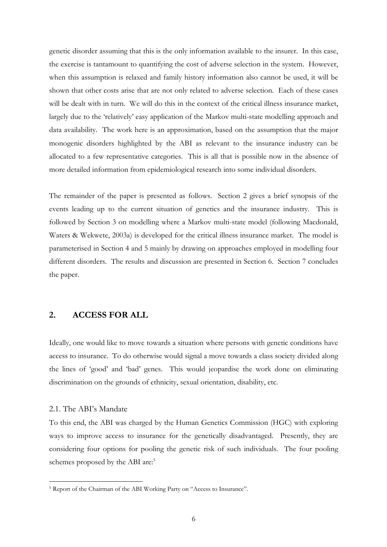genetic disorder assuming that this is the only information available to the insurer. In this case, the exercise is tantamount to quantifying the cost of adverse selection in the system. However, when this assumption is relaxed and family history information also cannot be used, it will be shown that other costs arise that are not only related to adverse selection. Each of these cases will be dealt with in turn. We will do this in the context of the critical illness insurance market, largely due to the 'relatively' easy application of the Markov multi-state modelling approach and data availability. The work here is an approximation, based on the assumption that the major monogenic disorders highlighted by the ABI as relevant to the insurance industry can be allocated to a few representative categories. This is all that is possible now in the absence of more detailed information from epidemiological research into some individual disorders.

The remainder of the paper is presented as follows. Section 2 gives a brief synopsis of the events leading up to the current situation of genetics and the insurance industry. This is followed by Section 3 on modelling where a Markov multi-state model (following Macdonald, Waters & Wekwete, 2003a) is developed for the critical illness insurance market. The model is parameterised in Section 4 and 5 mainly by drawing on approaches employed in modelling four different disorders. The results and discussion are presented in Section 6. Section 7 concludes the paper.

# **2. ACCESS FOR ALL**

Ideally, one would like to move towards a situation where persons with genetic conditions have access to insurance. To do otherwise would signal a move towards a class society divided along the lines of 'good' and 'bad' genes. This would jeopardise the work done on eliminating discrimination on the grounds of ethnicity, sexual orientation, disability, etc.

#### 2.1. The ABI's Mandate

 $\overline{a}$ 

To this end, the ABI was charged by the Human Genetics Commission (HGC) with exploring ways to improve access to insurance for the genetically disadvantaged. Presently, they are considering four options for pooling the genetic risk of such individuals. The four pooling schemes proposed by the ABI are:<sup>[5](#page-5-0)</sup>

<span id="page-5-0"></span><sup>5</sup> Report of the Chairman of the ABI Working Party on "Access to Insurance".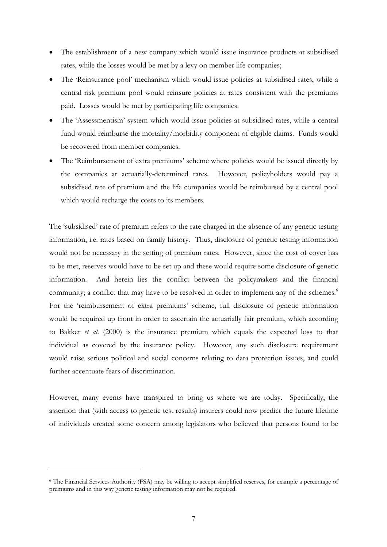- The establishment of a new company which would issue insurance products at subsidised rates, while the losses would be met by a levy on member life companies;
- The 'Reinsurance pool' mechanism which would issue policies at subsidised rates, while a central risk premium pool would reinsure policies at rates consistent with the premiums paid. Losses would be met by participating life companies.
- The 'Assessmentism' system which would issue policies at subsidised rates, while a central fund would reimburse the mortality/morbidity component of eligible claims. Funds would be recovered from member companies.
- The 'Reimbursement of extra premiums' scheme where policies would be issued directly by the companies at actuarially-determined rates. However, policyholders would pay a subsidised rate of premium and the life companies would be reimbursed by a central pool which would recharge the costs to its members.

The 'subsidised' rate of premium refers to the rate charged in the absence of any genetic testing information, i.e. rates based on family history. Thus, disclosure of genetic testing information would not be necessary in the setting of premium rates. However, since the cost of cover has to be met, reserves would have to be set up and these would require some disclosure of genetic information. And herein lies the conflict between the policymakers and the financial community; a conflict that may have to be resolved in order to implement any of the schemes.<sup>[6](#page-6-0)</sup> For the 'reimbursement of extra premiums' scheme, full disclosure of genetic information would be required up front in order to ascertain the actuarially fair premium, which according to Bakker *et al.* (2000) is the insurance premium which equals the expected loss to that individual as covered by the insurance policy. However, any such disclosure requirement would raise serious political and social concerns relating to data protection issues, and could further accentuate fears of discrimination.

However, many events have transpired to bring us where we are today. Specifically, the assertion that (with access to genetic test results) insurers could now predict the future lifetime of individuals created some concern among legislators who believed that persons found to be

 $\overline{a}$ 

<span id="page-6-0"></span><sup>6</sup> The Financial Services Authority (FSA) may be willing to accept simplified reserves, for example a percentage of premiums and in this way genetic testing information may not be required.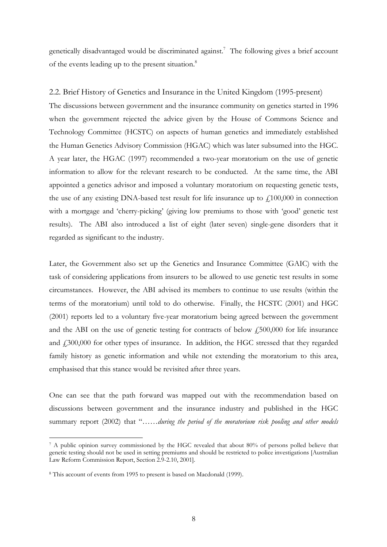genetically disadvantaged would be discriminated against.<sup>[7](#page-7-0)</sup> The following gives a brief account of the events leading up to the present situation.<sup>[8](#page-7-1)</sup>

# 2.2. Brief History of Genetics and Insurance in the United Kingdom (1995-present)

The discussions between government and the insurance community on genetics started in 1996 when the government rejected the advice given by the House of Commons Science and Technology Committee (HCSTC) on aspects of human genetics and immediately established the Human Genetics Advisory Commission (HGAC) which was later subsumed into the HGC. A year later, the HGAC (1997) recommended a two-year moratorium on the use of genetic information to allow for the relevant research to be conducted. At the same time, the ABI appointed a genetics advisor and imposed a voluntary moratorium on requesting genetic tests, the use of any existing DNA-based test result for life insurance up to  $f100,000$  in connection with a mortgage and 'cherry-picking' (giving low premiums to those with 'good' genetic test results). The ABI also introduced a list of eight (later seven) single-gene disorders that it regarded as significant to the industry.

Later, the Government also set up the Genetics and Insurance Committee (GAIC) with the task of considering applications from insurers to be allowed to use genetic test results in some circumstances. However, the ABI advised its members to continue to use results (within the terms of the moratorium) until told to do otherwise. Finally, the HCSTC (2001) and HGC (2001) reports led to a voluntary five-year moratorium being agreed between the government and the ABI on the use of genetic testing for contracts of below  $f_{15}500,000$  for life insurance and £300,000 for other types of insurance. In addition, the HGC stressed that they regarded family history as genetic information and while not extending the moratorium to this area, emphasised that this stance would be revisited after three years.

One can see that the path forward was mapped out with the recommendation based on discussions between government and the insurance industry and published in the HGC summary report (2002) that "……*during the period of the moratorium risk pooling and other models*

 $\overline{a}$ 

<span id="page-7-0"></span><sup>7</sup> A public opinion survey commissioned by the HGC revealed that about 80% of persons polled believe that genetic testing should not be used in setting premiums and should be restricted to police investigations [Australian Law Reform Commission Report, Section 2.9-2.10, 2001].

<span id="page-7-1"></span><sup>8</sup> This account of events from 1995 to present is based on Macdonald (1999).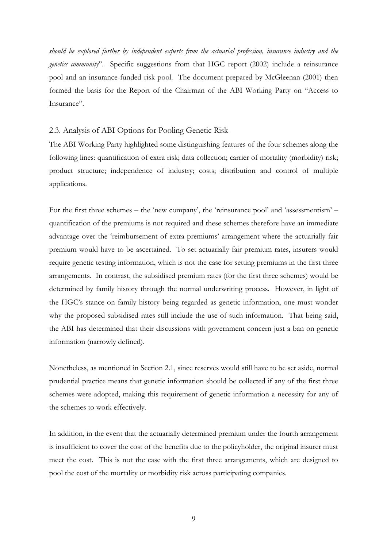*should be explored further by independent experts from the actuarial profession, insurance industry and the genetics community*". Specific suggestions from that HGC report (2002) include a reinsurance pool and an insurance-funded risk pool. The document prepared by McGleenan (2001) then formed the basis for the Report of the Chairman of the ABI Working Party on "Access to Insurance".

## 2.3. Analysis of ABI Options for Pooling Genetic Risk

The ABI Working Party highlighted some distinguishing features of the four schemes along the following lines: quantification of extra risk; data collection; carrier of mortality (morbidity) risk; product structure; independence of industry; costs; distribution and control of multiple applications.

For the first three schemes – the 'new company', the 'reinsurance pool' and 'assessmentism' – quantification of the premiums is not required and these schemes therefore have an immediate advantage over the 'reimbursement of extra premiums' arrangement where the actuarially fair premium would have to be ascertained. To set actuarially fair premium rates, insurers would require genetic testing information, which is not the case for setting premiums in the first three arrangements. In contrast, the subsidised premium rates (for the first three schemes) would be determined by family history through the normal underwriting process. However, in light of the HGC's stance on family history being regarded as genetic information, one must wonder why the proposed subsidised rates still include the use of such information. That being said, the ABI has determined that their discussions with government concern just a ban on genetic information (narrowly defined).

Nonetheless, as mentioned in Section 2.1, since reserves would still have to be set aside, normal prudential practice means that genetic information should be collected if any of the first three schemes were adopted, making this requirement of genetic information a necessity for any of the schemes to work effectively.

In addition, in the event that the actuarially determined premium under the fourth arrangement is insufficient to cover the cost of the benefits due to the policyholder, the original insurer must meet the cost. This is not the case with the first three arrangements, which are designed to pool the cost of the mortality or morbidity risk across participating companies.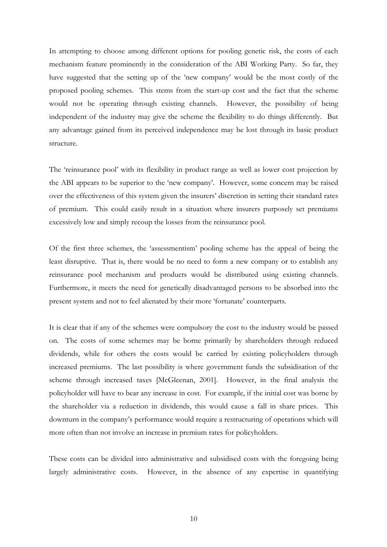In attempting to choose among different options for pooling genetic risk, the costs of each mechanism feature prominently in the consideration of the ABI Working Party. So far, they have suggested that the setting up of the 'new company' would be the most costly of the proposed pooling schemes. This stems from the start-up cost and the fact that the scheme would not be operating through existing channels. However, the possibility of being independent of the industry may give the scheme the flexibility to do things differently. But any advantage gained from its perceived independence may be lost through its basic product structure.

The 'reinsurance pool' with its flexibility in product range as well as lower cost projection by the ABI appears to be superior to the 'new company'. However, some concern may be raised over the effectiveness of this system given the insurers' discretion in setting their standard rates of premium. This could easily result in a situation where insurers purposely set premiums excessively low and simply recoup the losses from the reinsurance pool.

Of the first three schemes, the 'assessmentism' pooling scheme has the appeal of being the least disruptive. That is, there would be no need to form a new company or to establish any reinsurance pool mechanism and products would be distributed using existing channels. Furthermore, it meets the need for genetically disadvantaged persons to be absorbed into the present system and not to feel alienated by their more 'fortunate' counterparts.

It is clear that if any of the schemes were compulsory the cost to the industry would be passed on. The costs of some schemes may be borne primarily by shareholders through reduced dividends, while for others the costs would be carried by existing policyholders through increased premiums. The last possibility is where government funds the subsidisation of the scheme through increased taxes [McGleenan, 2001]. However, in the final analysis the policyholder will have to bear any increase in cost. For example, if the initial cost was borne by the shareholder via a reduction in dividends, this would cause a fall in share prices. This downturn in the company's performance would require a restructuring of operations which will more often than not involve an increase in premium rates for policyholders.

These costs can be divided into administrative and subsidised costs with the foregoing being largely administrative costs. However, in the absence of any expertise in quantifying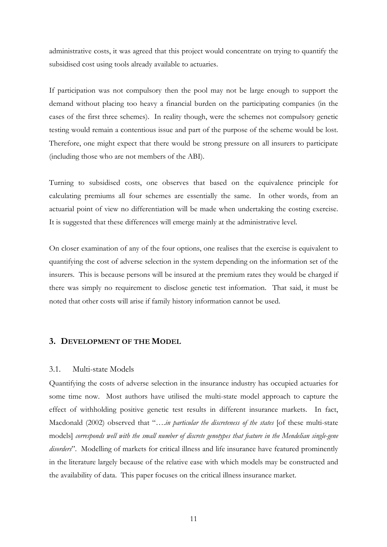administrative costs, it was agreed that this project would concentrate on trying to quantify the subsidised cost using tools already available to actuaries.

If participation was not compulsory then the pool may not be large enough to support the demand without placing too heavy a financial burden on the participating companies (in the cases of the first three schemes). In reality though, were the schemes not compulsory genetic testing would remain a contentious issue and part of the purpose of the scheme would be lost. Therefore, one might expect that there would be strong pressure on all insurers to participate (including those who are not members of the ABI).

Turning to subsidised costs, one observes that based on the equivalence principle for calculating premiums all four schemes are essentially the same. In other words, from an actuarial point of view no differentiation will be made when undertaking the costing exercise. It is suggested that these differences will emerge mainly at the administrative level.

On closer examination of any of the four options, one realises that the exercise is equivalent to quantifying the cost of adverse selection in the system depending on the information set of the insurers. This is because persons will be insured at the premium rates they would be charged if there was simply no requirement to disclose genetic test information. That said, it must be noted that other costs will arise if family history information cannot be used.

# **3. DEVELOPMENT OF THE MODEL**

## 3.1. Multi-state Models

Quantifying the costs of adverse selection in the insurance industry has occupied actuaries for some time now. Most authors have utilised the multi-state model approach to capture the effect of withholding positive genetic test results in different insurance markets. In fact, Macdonald (2002) observed that "….*in particular the discreteness of the states* [of these multi-state models] *corresponds well with the small number of discrete genotypes that feature in the Mendelian single-gene disorders*". Modelling of markets for critical illness and life insurance have featured prominently in the literature largely because of the relative ease with which models may be constructed and the availability of data. This paper focuses on the critical illness insurance market.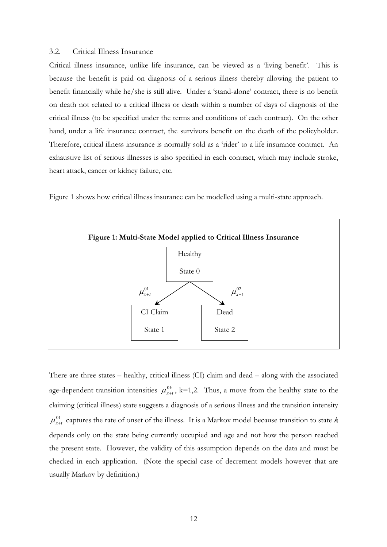#### 3.2. Critical Illness Insurance

Critical illness insurance, unlike life insurance, can be viewed as a 'living benefit'. This is because the benefit is paid on diagnosis of a serious illness thereby allowing the patient to benefit financially while he/she is still alive. Under a 'stand-alone' contract, there is no benefit on death not related to a critical illness or death within a number of days of diagnosis of the critical illness (to be specified under the terms and conditions of each contract). On the other hand, under a life insurance contract, the survivors benefit on the death of the policyholder. Therefore, critical illness insurance is normally sold as a 'rider' to a life insurance contract. An exhaustive list of serious illnesses is also specified in each contract, which may include stroke, heart attack, cancer or kidney failure, etc.

Figure 1 shows how critical illness insurance can be modelled using a multi-state approach.



There are three states – healthy, critical illness (CI) claim and dead – along with the associated age-dependent transition intensities  $\mu_{x+t}^{0k}$ , k=1,2. Thus, a move from the healthy state to the claiming (critical illness) state suggests a diagnosis of a serious illness and the transition intensity  $\mu_{x+t}^{01}$  captures the rate of onset of the illness. It is a Markov model because transition to state  $k$ depends only on the state being currently occupied and age and not how the person reached the present state. However, the validity of this assumption depends on the data and must be checked in each application. (Note the special case of decrement models however that are usually Markov by definition.)  $\mu_{_{x+t}}^{0k}$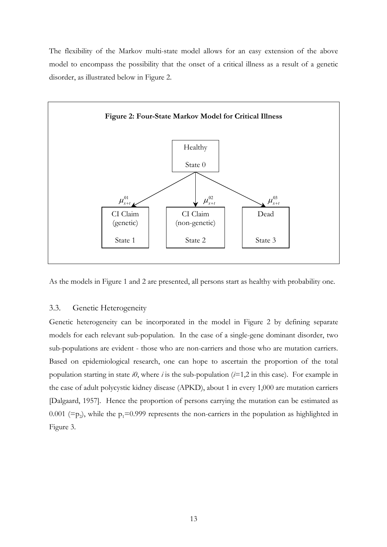The flexibility of the Markov multi-state model allows for an easy extension of the above model to encompass the possibility that the onset of a critical illness as a result of a genetic disorder, as illustrated below in Figure 2.



As the models in Figure 1 and 2 are presented, all persons start as healthy with probability one.

#### 3.3. Genetic Heterogeneity

Genetic heterogeneity can be incorporated in the model in Figure 2 by defining separate models for each relevant sub-population. In the case of a single-gene dominant disorder, two sub-populations are evident - those who are non-carriers and those who are mutation carriers. Based on epidemiological research, one can hope to ascertain the proportion of the total population starting in state *i0*, where *i* is the sub-population (*i*=1,2 in this case). For example in the case of adult polycystic kidney disease (APKD), about 1 in every 1,000 are mutation carriers [Dalgaard, 1957]. Hence the proportion of persons carrying the mutation can be estimated as 0.001 (= $p_2$ ), while the  $p_1$ =0.999 represents the non-carriers in the population as highlighted in Figure 3.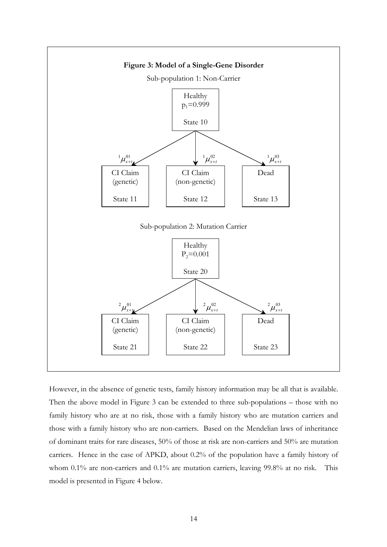

However, in the absence of genetic tests, family history information may be all that is available. Then the above model in Figure 3 can be extended to three sub-populations – those with no family history who are at no risk, those with a family history who are mutation carriers and those with a family history who are non-carriers. Based on the Mendelian laws of inheritance of dominant traits for rare diseases, 50% of those at risk are non-carriers and 50% are mutation carriers. Hence in the case of APKD, about 0.2% of the population have a family history of whom 0.1% are non-carriers and 0.1% are mutation carriers, leaving 99.8% at no risk. This model is presented in Figure 4 below.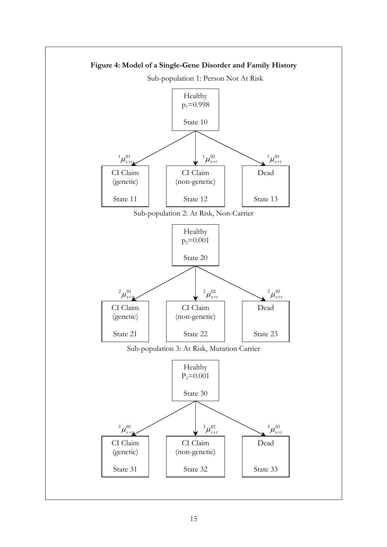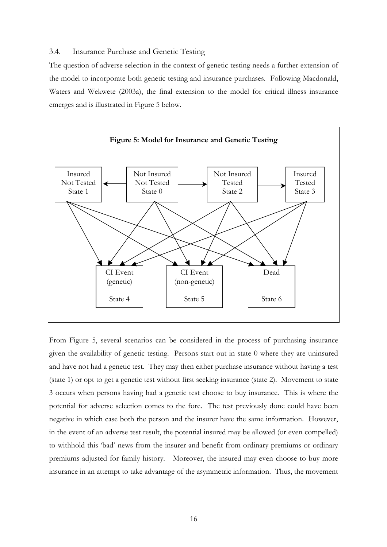# 3.4. Insurance Purchase and Genetic Testing

The question of adverse selection in the context of genetic testing needs a further extension of the model to incorporate both genetic testing and insurance purchases. Following Macdonald, Waters and Wekwete (2003a), the final extension to the model for critical illness insurance emerges and is illustrated in Figure 5 below.



From Figure 5, several scenarios can be considered in the process of purchasing insurance given the availability of genetic testing. Persons start out in state 0 where they are uninsured and have not had a genetic test. They may then either purchase insurance without having a test (state 1) or opt to get a genetic test without first seeking insurance (state 2). Movement to state 3 occurs when persons having had a genetic test choose to buy insurance. This is where the potential for adverse selection comes to the fore. The test previously done could have been negative in which case both the person and the insurer have the same information. However, in the event of an adverse test result, the potential insured may be allowed (or even compelled) to withhold this 'bad' news from the insurer and benefit from ordinary premiums or ordinary premiums adjusted for family history. Moreover, the insured may even choose to buy more insurance in an attempt to take advantage of the asymmetric information. Thus, the movement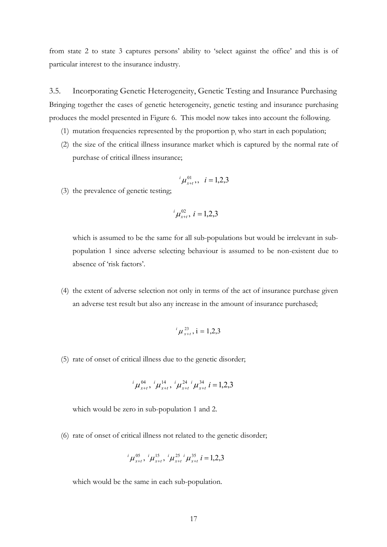from state 2 to state 3 captures persons' ability to 'select against the office' and this is of particular interest to the insurance industry.

3.5. Incorporating Genetic Heterogeneity, Genetic Testing and Insurance Purchasing Bringing together the cases of genetic heterogeneity, genetic testing and insurance purchasing produces the model presented in Figure 6. This model now takes into account the following.

- (1) mutation frequencies represented by the proportion  $p_i$  who start in each population;
- (2) the size of the critical illness insurance market which is captured by the normal rate of purchase of critical illness insurance;

$$
{}^{i}\mu_{x+t}^{01},\quad i=1,2,3
$$

(3) the prevalence of genetic testing;

$$
{}^{i}\mu_{x+t}^{02}, i=1,2,3
$$

which is assumed to be the same for all sub-populations but would be irrelevant in subpopulation 1 since adverse selecting behaviour is assumed to be non-existent due to absence of 'risk factors'.

(4) the extent of adverse selection not only in terms of the act of insurance purchase given an adverse test result but also any increase in the amount of insurance purchased;

$$
{}^{i}\mu^{23}_{x+t}, i=1,2,3
$$

(5) rate of onset of critical illness due to the genetic disorder;

$$
{}^{i}\mu_{x+t}^{04}, {}^{i}\mu_{x+t}^{14}, {}^{i}\mu_{x+t}^{24}{}^{i}\mu_{x+t}^{34}{}^{i}=1,2,3
$$

which would be zero in sub-population 1 and 2.

(6) rate of onset of critical illness not related to the genetic disorder;

$$
{}^{i}\mu_{x+t}^{05}, {}^{i}\mu_{x+t}^{15}, {}^{i}\mu_{x+t}^{25} \mu_{x+t}^{35} i = 1,2,3
$$

which would be the same in each sub-population.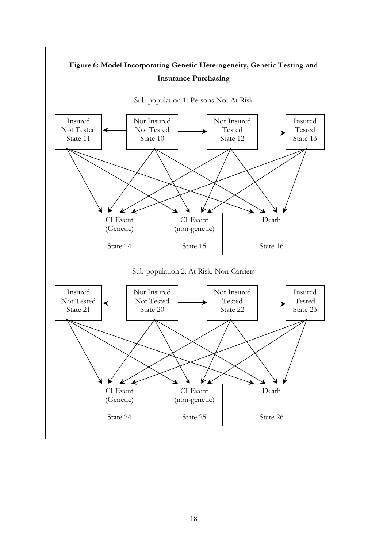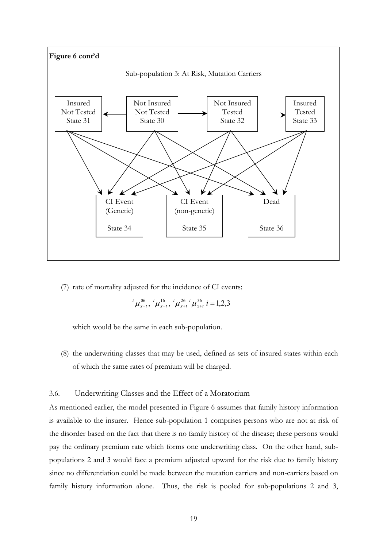

(7) rate of mortality adjusted for the incidence of CI events;

$$
{}^{i}\mu_{x+t}^{06}, {}^{i}\mu_{x+t}^{16}, {}^{i}\mu_{x+t}^{26} \mu_{x+t}^{36} i = 1,2,3
$$

which would be the same in each sub-population.

(8) the underwriting classes that may be used, defined as sets of insured states within each of which the same rates of premium will be charged.

## 3.6. Underwriting Classes and the Effect of a Moratorium

As mentioned earlier, the model presented in Figure 6 assumes that family history information is available to the insurer. Hence sub-population 1 comprises persons who are not at risk of the disorder based on the fact that there is no family history of the disease; these persons would pay the ordinary premium rate which forms one underwriting class. On the other hand, subpopulations 2 and 3 would face a premium adjusted upward for the risk due to family history since no differentiation could be made between the mutation carriers and non-carriers based on family history information alone. Thus, the risk is pooled for sub-populations 2 and 3,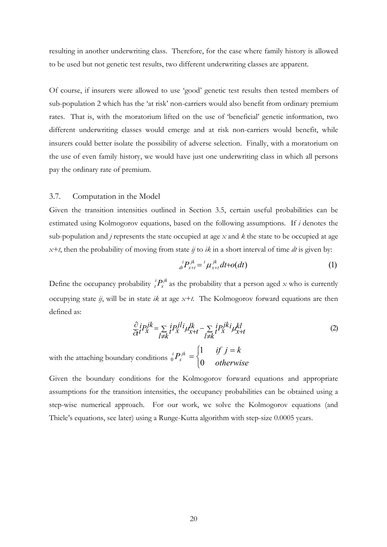resulting in another underwriting class. Therefore, for the case where family history is allowed to be used but not genetic test results, two different underwriting classes are apparent.

Of course, if insurers were allowed to use 'good' genetic test results then tested members of sub-population 2 which has the 'at risk' non-carriers would also benefit from ordinary premium rates. That is, with the moratorium lifted on the use of 'beneficial' genetic information, two different underwriting classes would emerge and at risk non-carriers would benefit, while insurers could better isolate the possibility of adverse selection. Finally, with a moratorium on the use of even family history, we would have just one underwriting class in which all persons pay the ordinary rate of premium.

# 3.7. Computation in the Model

Given the transition intensities outlined in Section 3.5, certain useful probabilities can be estimated using Kolmogorov equations, based on the following assumptions. If *i* denotes the sub-population and *j* represents the state occupied at age *x* and *k* the state to be occupied at age *x+t*, then the probability of moving from state *ij* to *ik* in a short interval of time *dt* is given by:

$$
{}_{dt}^{i}P_{x+t}^{jk} = {}^{i}\mu_{x+t}^{jk}dt + o(dt)
$$
 (1)

Define the occupancy probability  ${}_{t}^{i}P_{x}^{jk}$  as the probability that a person aged *x* who is currently occupying state *ij*, will be in state *ik* at age *x+t*. The Kolmogorov forward equations are then defined as: *x*  $i$  *P*<sub>3</sub>

$$
\frac{\partial}{\partial t}i P_X^{jk} = \sum_{l \neq k} i P_X^{jl} i \mu_{x+t}^l - \sum_{l \neq k} i P_X^{jk} i \mu_{x+t}^{kl}
$$
(2)

with the attaching boundary conditions  ${}_{0}^{i}P_{x}^{j\kappa} = \left\{$  $=\begin{cases} 1 & \text{if } j = k \\ 0 & \text{otherwise} \end{cases}$  $P_{x}^{jk}$ *i* 0 1 0

Given the boundary conditions for the Kolmogorov forward equations and appropriate assumptions for the transition intensities, the occupancy probabilities can be obtained using a step-wise numerical approach. For our work, we solve the Kolmogorov equations (and Thiele's equations, see later) using a Runge-Kutta algorithm with step-size 0.0005 years.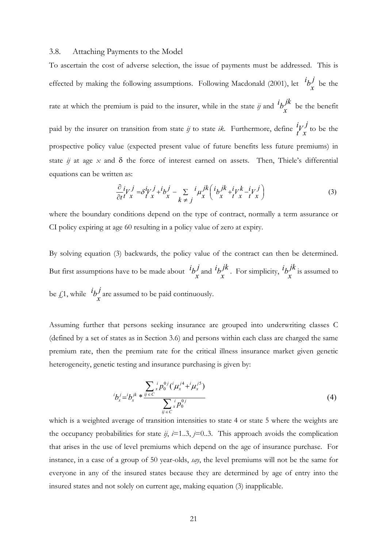#### 3.8. Attaching Payments to the Model

To ascertain the cost of adverse selection, the issue of payments must be addressed. This is effected by making the following assumptions. Following Macdonald (2001), let  $i\frac{\partial j}{\partial x}$  be the rate at which the premium is paid to the insurer, while in the state *ij* and  ${}^{i}b_{\nu}^{jk}$  be the benefit paid by the insurer on transition from state  $i\jmath$  to state  $i\kappa$ . Furthermore, define  $\frac{i}{l}v^j$  to be the prospective policy value (expected present value of future benefits less future premiums) in state  $i$  at age  $x$  and  $\delta$  the force of interest earned on assets. Then, Thiele's differential equations can be written as:  $b_x^J$ *x V*  $b_x^J$ 

$$
\frac{\partial}{\partial t}^i V_x^j = \delta^i V_x^j + ^i b_x^j - \sum_{k \neq j}^i \mu_x^{jk} \left( ^i b_x^{jk} + ^i t^j x - ^i t^j x \right)
$$
\n(3)

where the boundary conditions depend on the type of contract, normally a term assurance or CI policy expiring at age 60 resulting in a policy value of zero at expiry.

By solving equation (3) backwards, the policy value of the contract can then be determined. But first assumptions have to be made about  ${}^{i}b^{j}$  and  ${}^{i}b^{jk}$ . For simplicity,  ${}^{i}b^{jk}$  is assumed to be  $\oint_{\mathcal{L}} 1$ , while  $i\frac{1}{2}j\frac{1}{2}$  are assumed to be paid continuously.  $\frac{i}{x}$  *b*<sub>*x*</sub>  $\frac{j}{x}$  $i_b j^k$ . For simplicity,  $i_b j^k$ *x b*  $b_x^J$ 

Assuming further that persons seeking insurance are grouped into underwriting classes C (defined by a set of states as in Section 3.6) and persons within each class are charged the same premium rate, then the premium rate for the critical illness insurance market given genetic heterogeneity, genetic testing and insurance purchasing is given by:

$$
{}^{i}b_{x}^{j} = {}^{i}b_{x}^{jk} * \frac{\sum_{y \in C} {}^{i}p_{0}^{0j}({}^{i}\mu_{x}^{j4} + {}^{i}\mu_{x}^{j5})}{\sum_{y \in C} {}^{i}p_{0}^{0j}}
$$
(4)

which is a weighted average of transition intensities to state 4 or state 5 where the weights are the occupancy probabilities for state  $i$ ,  $i=1..3$ ,  $j=0..3$ . This approach avoids the complication that arises in the use of level premiums which depend on the age of insurance purchase. For instance, in a case of a group of 50 year-olds, *say*, the level premiums will not be the same for everyone in any of the insured states because they are determined by age of entry into the insured states and not solely on current age, making equation (3) inapplicable.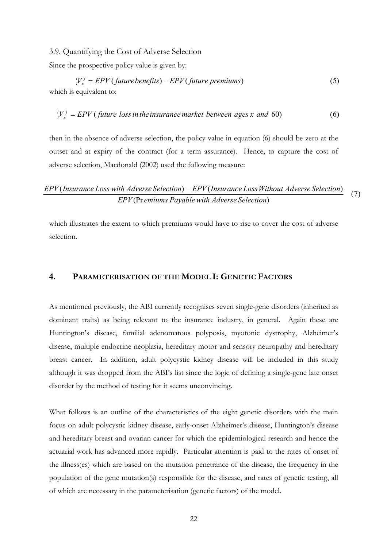3.9. Quantifying the Cost of Adverse Selection

Since the prospective policy value is given by:

 $\int V_x^j = EPV \left( \text{future benefits} \right) - EPV \left( \text{future premiums} \right)$  (5)  $i_l^i V_x^j = EPV$  (future benefits) – which is equivalent to:

 $V_x^j = EPV$  (*future loss in the insurance market between <i>ages x and* 60) (6)  $i_V^i V_x^j =$ 

then in the absence of adverse selection, the policy value in equation (6) should be zero at the outset and at expiry of the contract (for a term assurance). Hence, to capture the cost of adverse selection, Macdonald (2002) used the following measure:

# *EPV* (Pr emiums Payable with *Adverse Selection*) (7) ( ) ( ) *EPV Insurance Loss with Adverse Selection* − *EPV Insurance LossWithout Adverse Selection*

which illustrates the extent to which premiums would have to rise to cover the cost of adverse selection.

# **4. PARAMETERISATION OF THE MODEL I: GENETIC FACTORS**

As mentioned previously, the ABI currently recognises seven single-gene disorders (inherited as dominant traits) as being relevant to the insurance industry, in general. Again these are Huntington's disease, familial adenomatous polyposis, myotonic dystrophy, Alzheimer's disease, multiple endocrine neoplasia, hereditary motor and sensory neuropathy and hereditary breast cancer. In addition, adult polycystic kidney disease will be included in this study although it was dropped from the ABI's list since the logic of defining a single-gene late onset disorder by the method of testing for it seems unconvincing.

What follows is an outline of the characteristics of the eight genetic disorders with the main focus on adult polycystic kidney disease, early-onset Alzheimer's disease, Huntington's disease and hereditary breast and ovarian cancer for which the epidemiological research and hence the actuarial work has advanced more rapidly. Particular attention is paid to the rates of onset of the illness(es) which are based on the mutation penetrance of the disease, the frequency in the population of the gene mutation(s) responsible for the disease, and rates of genetic testing, all of which are necessary in the parameterisation (genetic factors) of the model.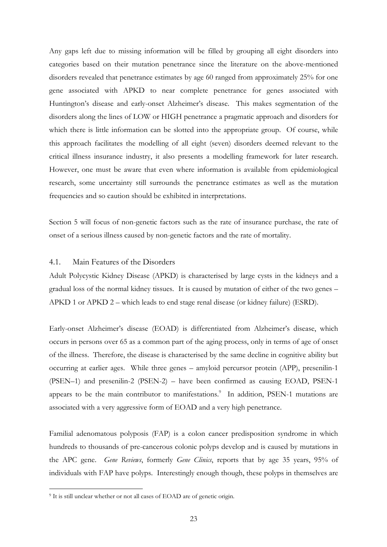Any gaps left due to missing information will be filled by grouping all eight disorders into categories based on their mutation penetrance since the literature on the above-mentioned disorders revealed that penetrance estimates by age 60 ranged from approximately 25% for one gene associated with APKD to near complete penetrance for genes associated with Huntington's disease and early-onset Alzheimer's disease. This makes segmentation of the disorders along the lines of LOW or HIGH penetrance a pragmatic approach and disorders for which there is little information can be slotted into the appropriate group. Of course, while this approach facilitates the modelling of all eight (seven) disorders deemed relevant to the critical illness insurance industry, it also presents a modelling framework for later research. However, one must be aware that even where information is available from epidemiological research, some uncertainty still surrounds the penetrance estimates as well as the mutation frequencies and so caution should be exhibited in interpretations.

Section 5 will focus of non-genetic factors such as the rate of insurance purchase, the rate of onset of a serious illness caused by non-genetic factors and the rate of mortality.

## 4.1. Main Features of the Disorders

Adult Polycystic Kidney Disease (APKD) is characterised by large cysts in the kidneys and a gradual loss of the normal kidney tissues. It is caused by mutation of either of the two genes – APKD 1 or APKD 2 – which leads to end stage renal disease (or kidney failure) (ESRD).

Early-onset Alzheimer's disease (EOAD) is differentiated from Alzheimer's disease, which occurs in persons over 65 as a common part of the aging process, only in terms of age of onset of the illness. Therefore, the disease is characterised by the same decline in cognitive ability but occurring at earlier ages. While three genes – amyloid percursor protein (APP), presenilin-1 (PSEN–1) and presenilin-2 (PSEN-2) – have been confirmed as causing EOAD, PSEN-1 appears to be the main contributor to manifestations.<sup>[9](#page-22-0)</sup> In addition, PSEN-1 mutations are associated with a very aggressive form of EOAD and a very high penetrance.

Familial adenomatous polyposis (FAP) is a colon cancer predisposition syndrome in which hundreds to thousands of pre-cancerous colonic polyps develop and is caused by mutations in the APC gene. *Gene Reviews*, formerly *Gene Clinics*, reports that by age 35 years, 95% of individuals with FAP have polyps. Interestingly enough though, these polyps in themselves are

 $\overline{a}$ 

<span id="page-22-0"></span><sup>&</sup>lt;sup>9</sup> It is still unclear whether or not all cases of EOAD are of genetic origin.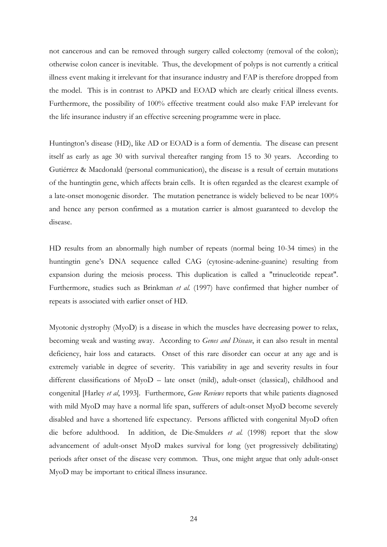not cancerous and can be removed through surgery called colectomy (removal of the colon); otherwise colon cancer is inevitable. Thus, the development of polyps is not currently a critical illness event making it irrelevant for that insurance industry and FAP is therefore dropped from the model. This is in contrast to APKD and EOAD which are clearly critical illness events. Furthermore, the possibility of 100% effective treatment could also make FAP irrelevant for the life insurance industry if an effective screening programme were in place.

Huntington's disease (HD), like AD or EOAD is a form of dementia. The disease can present itself as early as age 30 with survival thereafter ranging from 15 to 30 years. According to Gutiérrez & Macdonald (personal communication), the disease is a result of certain mutations of the huntingtin gene, which affects brain cells. It is often regarded as the clearest example of a late-onset monogenic disorder. The mutation penetrance is widely believed to be near 100% and hence any person confirmed as a mutation carrier is almost guaranteed to develop the disease.

HD results from an abnormally high number of repeats (normal being 10-34 times) in the huntingtin gene's DNA sequence called CAG (cytosine-adenine-guanine) resulting from expansion during the meiosis process. This duplication is called a "trinucleotide repeat". Furthermore, studies such as Brinkman *et al.* (1997) have confirmed that higher number of repeats is associated with earlier onset of HD.

Myotonic dystrophy (MyoD) is a disease in which the muscles have decreasing power to relax, becoming weak and wasting away. According to *Genes and Disease*, it can also result in mental deficiency, hair loss and cataracts. Onset of this rare disorder can occur at any age and is extremely variable in degree of severity. This variability in age and severity results in four different classifications of MyoD – late onset (mild), adult-onset (classical), childhood and congenital [Harley *et al*, 1993]. Furthermore, *Gene Reviews* reports that while patients diagnosed with mild MyoD may have a normal life span, sufferers of adult-onset MyoD become severely disabled and have a shortened life expectancy. Persons afflicted with congenital MyoD often die before adulthood. In addition, de Die-Smulders *et al.* (1998) report that the slow advancement of adult-onset MyoD makes survival for long (yet progressively debilitating) periods after onset of the disease very common. Thus, one might argue that only adult-onset MyoD may be important to critical illness insurance.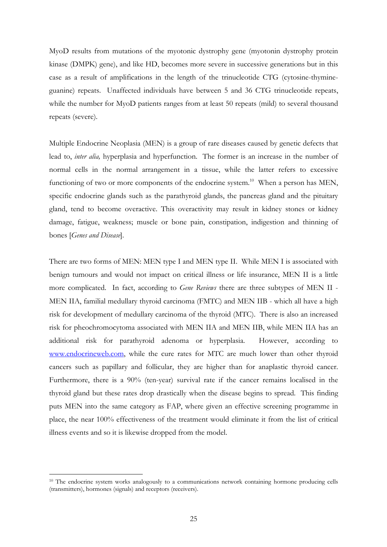MyoD results from mutations of the myotonic dystrophy gene (myotonin dystrophy protein kinase (DMPK) gene), and like HD, becomes more severe in successive generations but in this case as a result of amplifications in the length of the trinucleotide CTG (cytosine-thymineguanine) repeats. Unaffected individuals have between 5 and 36 CTG trinucleotide repeats, while the number for MyoD patients ranges from at least 50 repeats (mild) to several thousand repeats (severe).

Multiple Endocrine Neoplasia (MEN) is a group of rare diseases caused by genetic defects that lead to, *inter alia,* hyperplasia and hyperfunction. The former is an increase in the number of normal cells in the normal arrangement in a tissue, while the latter refers to excessive functioning of two or more components of the endocrine system.<sup>10</sup> When a person has MEN, specific endocrine glands such as the parathyroid glands, the pancreas gland and the pituitary gland, tend to become overactive. This overactivity may result in kidney stones or kidney damage, fatigue, weakness; muscle or bone pain, constipation, indigestion and thinning of bones [*Genes and Disease*].

There are two forms of MEN: MEN type I and MEN type II. While MEN I is associated with benign tumours and would not impact on critical illness or life insurance, MEN II is a little more complicated. In fact, according to *Gene Reviews* there are three subtypes of MEN II - MEN IIA, familial medullary thyroid carcinoma (FMTC) and MEN IIB - which all have a high risk for development of medullary carcinoma of the thyroid (MTC). There is also an increased risk for pheochromocytoma associated with MEN IIA and MEN IIB, while MEN IIA has an additional risk for parathyroid adenoma or hyperplasia. However, according to [www.endocrineweb.com](http://www.endocrineweb.com/), while the cure rates for MTC are much lower than other thyroid cancers such as papillary and follicular, they are higher than for anaplastic thyroid cancer. Furthermore, there is a 90% (ten-year) survival rate if the cancer remains localised in the thyroid gland but these rates drop drastically when the disease begins to spread. This finding puts MEN into the same category as FAP, where given an effective screening programme in place, the near 100% effectiveness of the treatment would eliminate it from the list of critical illness events and so it is likewise dropped from the model.

 $\overline{a}$ 

<span id="page-24-0"></span><sup>&</sup>lt;sup>10</sup> The endocrine system works analogously to a communications network containing hormone producing cells (transmitters), hormones (signals) and receptors (receivers).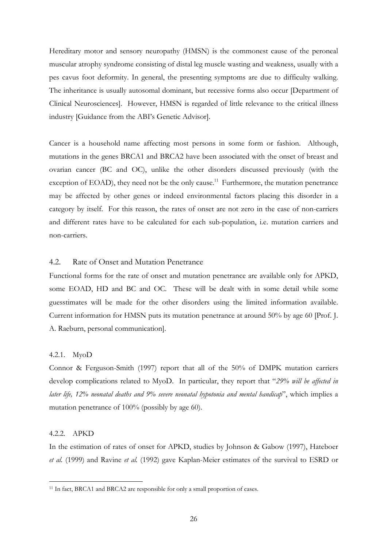Hereditary motor and sensory neuropathy (HMSN) is the commonest cause of the peroneal muscular atrophy syndrome consisting of distal leg muscle wasting and weakness, usually with a pes cavus foot deformity. In general, the presenting symptoms are due to difficulty walking. The inheritance is usually autosomal dominant, but recessive forms also occur [Department of Clinical Neurosciences]. However, HMSN is regarded of little relevance to the critical illness industry [Guidance from the ABI's Genetic Advisor].

Cancer is a household name affecting most persons in some form or fashion. Although, mutations in the genes BRCA1 and BRCA2 have been associated with the onset of breast and ovarian cancer (BC and OC), unlike the other disorders discussed previously (with the exception of EOAD), they need not be the only cause.<sup>11</sup> Furthermore, the mutation penetrance may be affected by other genes or indeed environmental factors placing this disorder in a category by itself. For this reason, the rates of onset are not zero in the case of non-carriers and different rates have to be calculated for each sub-population, i.e. mutation carriers and non-carriers.

#### 4.2. Rate of Onset and Mutation Penetrance

Functional forms for the rate of onset and mutation penetrance are available only for APKD, some EOAD, HD and BC and OC. These will be dealt with in some detail while some guesstimates will be made for the other disorders using the limited information available. Current information for HMSN puts its mutation penetrance at around 50% by age 60 [Prof. J. A. Raeburn, personal communication].

## 4.2.1. MyoD

Connor & Ferguson-Smith (1997) report that all of the 50% of DMPK mutation carriers develop complications related to MyoD. In particular, they report that "*29% will be affected in later life, 12% neonatal deaths and 9% severe neonatal hypotonia and mental handicap*", which implies a mutation penetrance of 100% (possibly by age 60).

#### 4.2.2. APKD

 $\overline{a}$ 

In the estimation of rates of onset for APKD, studies by Johnson & Gabow (1997), Hateboer *et al.* (1999) and Ravine *et al.* (1992) gave Kaplan-Meier estimates of the survival to ESRD or

<span id="page-25-0"></span><sup>&</sup>lt;sup>11</sup> In fact, BRCA1 and BRCA2 are responsible for only a small proportion of cases.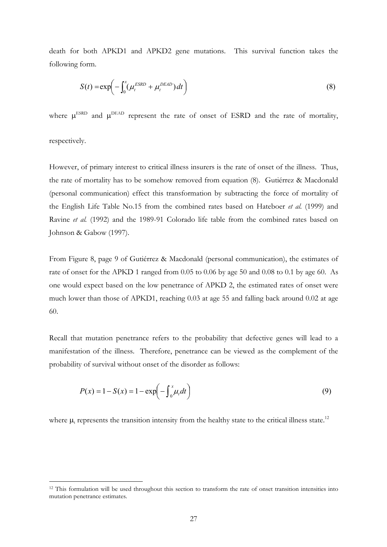death for both APKD1 and APKD2 gene mutations. This survival function takes the following form.

$$
S(t) = \exp\left(-\int_0^x (\mu_t^{ESRD} + \mu_t^{DEAD}) dt\right)
$$
\n(8)

where  $\mu^{\text{ESRD}}$  and  $\mu^{\text{DEAD}}$  represent the rate of onset of ESRD and the rate of mortality,

respectively.

 $\overline{a}$ 

However, of primary interest to critical illness insurers is the rate of onset of the illness. Thus, the rate of mortality has to be somehow removed from equation (8). Gutiérrez & Macdonald (personal communication) effect this transformation by subtracting the force of mortality of the English Life Table No.15 from the combined rates based on Hateboer *et al.* (1999) and Ravine *et al.* (1992) and the 1989-91 Colorado life table from the combined rates based on Johnson & Gabow (1997).

From Figure 8, page 9 of Gutiérrez & Macdonald (personal communication), the estimates of rate of onset for the APKD 1 ranged from 0.05 to 0.06 by age 50 and 0.08 to 0.1 by age 60. As one would expect based on the low penetrance of APKD 2, the estimated rates of onset were much lower than those of APKD1, reaching 0.03 at age 55 and falling back around 0.02 at age 60.

Recall that mutation penetrance refers to the probability that defective genes will lead to a manifestation of the illness. Therefore, penetrance can be viewed as the complement of the probability of survival without onset of the disorder as follows:

$$
P(x) = 1 - S(x) = 1 - \exp\left(-\int_0^x \mu_t dt\right)
$$
\n(9)

where  $\mu_t$  represents the transition intensity from the healthy state to the critical illness state.<sup>12</sup>

<span id="page-26-0"></span><sup>&</sup>lt;sup>12</sup> This formulation will be used throughout this section to transform the rate of onset transition intensities into mutation penetrance estimates.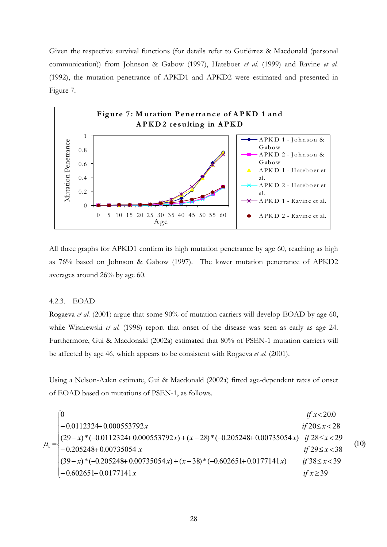Given the respective survival functions (for details refer to Gutiérrez & Macdonald (personal communication)) from Johnson & Gabow (1997), Hateboer *et al.* (1999) and Ravine *et al.* (1992), the mutation penetrance of APKD1 and APKD2 were estimated and presented in Figure 7.



All three graphs for APKD1 confirm its high mutation penetrance by age 60, reaching as high as 76% based on Johnson & Gabow (1997). The lower mutation penetrance of APKD2 averages around 26% by age 60.

#### 4.2.3. EOAD

Rogaeva *et al.* (2001) argue that some 90% of mutation carriers will develop EOAD by age 60, while Wisniewski *et al.* (1998) report that onset of the disease was seen as early as age 24. Furthermore, Gui & Macdonald (2002a) estimated that 80% of PSEN-1 mutation carriers will be affected by age 46, which appears to be consistent with Rogaeva *et al.* (2001).

Using a Nelson-Aalen estimate, Gui & Macdonald (2002a) fitted age-dependent rates of onset of EOAD based on mutations of PSEN-1, as follows.

|  | v                                                                                          | <i>if</i> $x < 20.0$      |      |
|--|--------------------------------------------------------------------------------------------|---------------------------|------|
|  | $-0.0112324+0.000553792x$                                                                  | <i>if</i> $20 \le x < 28$ |      |
|  | $\int (29-x)^*(-0.0112324+0.000553792x)+(x-28)*(-0.205248+0.00735054x)$ if $28 \le x < 29$ |                           | (10) |
|  | $\mu_x = \begin{cases} 1 \\ -0.205248 + 0.00735054 \ x \end{cases}$                        | <i>if</i> $29 \le x < 38$ |      |
|  | $(39-x)^*(-0.205248+0.00735054x)+(x-38)*(-0.602651+0.0177141x)$                            | <i>if</i> $38 \le x < 39$ |      |
|  | $-0.602651+0.0177141x$                                                                     | if $x \geq 39$            |      |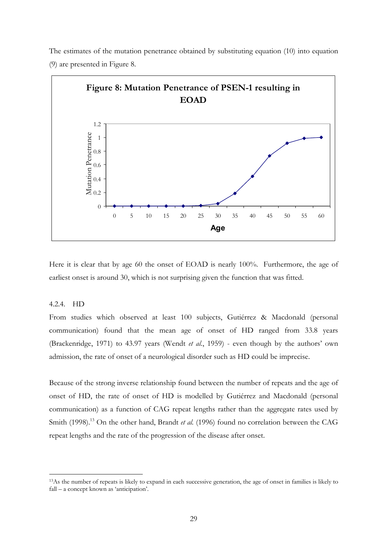The estimates of the mutation penetrance obtained by substituting equation (10) into equation (9) are presented in Figure 8.



Here it is clear that by age 60 the onset of EOAD is nearly 100%. Furthermore, the age of earliest onset is around 30, which is not surprising given the function that was fitted.

#### 4.2.4. HD

 $\overline{a}$ 

From studies which observed at least 100 subjects, Gutiérrez & Macdonald (personal communication) found that the mean age of onset of HD ranged from 33.8 years (Brackenridge, 1971) to 43.97 years (Wendt *et al.*, 1959) - even though by the authors' own admission, the rate of onset of a neurological disorder such as HD could be imprecise.

Because of the strong inverse relationship found between the number of repeats and the age of onset of HD, the rate of onset of HD is modelled by Gutiérrez and Macdonald (personal communication) as a function of CAG repeat lengths rather than the aggregate rates used by Smith (1998).<sup>13</sup> On the other hand, Brandt *et al.* (1996) found no correlation between the CAG repeat lengths and the rate of the progression of the disease after onset.

<span id="page-28-0"></span><sup>13</sup>As the number of repeats is likely to expand in each successive generation, the age of onset in families is likely to fall – a concept known as 'anticipation'.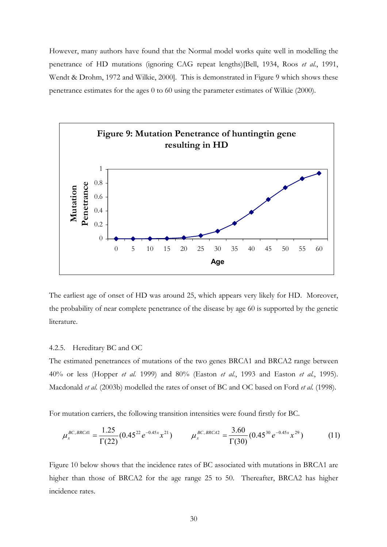However, many authors have found that the Normal model works quite well in modelling the penetrance of HD mutations (ignoring CAG repeat lengths)[Bell, 1934, Roos *et al.*, 1991, Wendt & Drohm, 1972 and Wilkie, 2000]. This is demonstrated in Figure 9 which shows these penetrance estimates for the ages 0 to 60 using the parameter estimates of Wilkie (2000).



The earliest age of onset of HD was around 25, which appears very likely for HD. Moreover, the probability of near complete penetrance of the disease by age 60 is supported by the genetic literature.

#### 4.2.5. Hereditary BC and OC

The estimated penetrances of mutations of the two genes BRCA1 and BRCA2 range between 40% or less (Hopper *et al.* 1999) and 80% (Easton *et al.*, 1993 and Easton *et al.*, 1995). Macdonald *et al.* (2003b) modelled the rates of onset of BC and OC based on Ford *et al.* (1998).

For mutation carriers, the following transition intensities were found firstly for BC.

$$
\mu_x^{BC, BRCA1} = \frac{1.25}{\Gamma(22)} (0.45^{22} e^{-0.45x} x^{21}) \qquad \mu_x^{BC, BRCA2} = \frac{3.60}{\Gamma(30)} (0.45^{30} e^{-0.45x} x^{29}) \tag{11}
$$

Figure 10 below shows that the incidence rates of BC associated with mutations in BRCA1 are higher than those of BRCA2 for the age range 25 to 50. Thereafter, BRCA2 has higher incidence rates.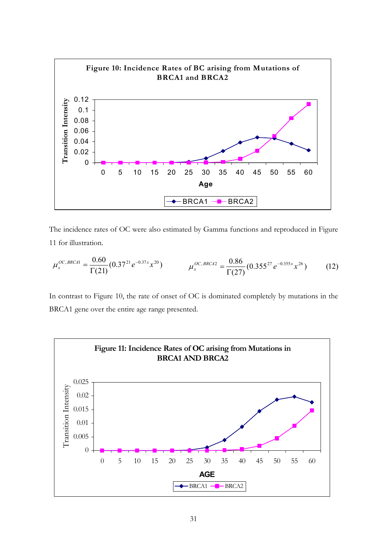

The incidence rates of OC were also estimated by Gamma functions and reproduced in Figure 11 for illustration.

$$
\mu_x^{OC, BRCA1} = \frac{0.60}{\Gamma(21)} (0.37^{21} e^{-0.37x} x^{20}) \qquad \mu_x^{OC, BRCA2} = \frac{0.86}{\Gamma(27)} (0.355^{27} e^{-0.355x} x^{26}) \qquad (12)
$$

In contrast to Figure 10, the rate of onset of OC is dominated completely by mutations in the BRCA1 gene over the entire age range presented.

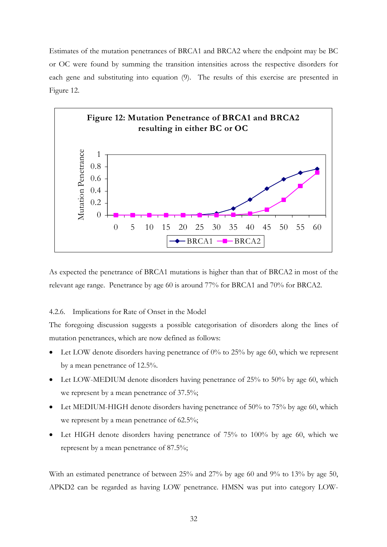Estimates of the mutation penetrances of BRCA1 and BRCA2 where the endpoint may be BC or OC were found by summing the transition intensities across the respective disorders for each gene and substituting into equation (9). The results of this exercise are presented in Figure 12.



As expected the penetrance of BRCA1 mutations is higher than that of BRCA2 in most of the relevant age range. Penetrance by age 60 is around 77% for BRCA1 and 70% for BRCA2.

## 4.2.6. Implications for Rate of Onset in the Model

The foregoing discussion suggests a possible categorisation of disorders along the lines of mutation penetrances, which are now defined as follows:

- Let LOW denote disorders having penetrance of  $0\%$  to 25% by age 60, which we represent by a mean penetrance of 12.5%.
- Let LOW-MEDIUM denote disorders having penetrance of 25% to 50% by age 60, which we represent by a mean penetrance of 37.5%;
- Let MEDIUM-HIGH denote disorders having penetrance of 50% to 75% by age 60, which we represent by a mean penetrance of 62.5%;
- Let HIGH denote disorders having penetrance of 75% to 100% by age 60, which we represent by a mean penetrance of 87.5%;

With an estimated penetrance of between 25% and 27% by age 60 and 9% to 13% by age 50, APKD2 can be regarded as having LOW penetrance. HMSN was put into category LOW-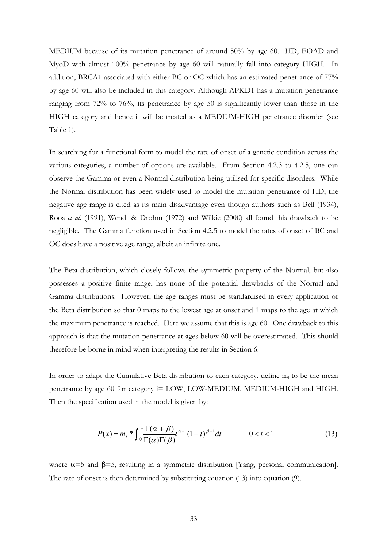MEDIUM because of its mutation penetrance of around 50% by age 60. HD, EOAD and MyoD with almost 100% penetrance by age 60 will naturally fall into category HIGH. In addition, BRCA1 associated with either BC or OC which has an estimated penetrance of 77% by age 60 will also be included in this category. Although APKD1 has a mutation penetrance ranging from 72% to 76%, its penetrance by age 50 is significantly lower than those in the HIGH category and hence it will be treated as a MEDIUM-HIGH penetrance disorder (see Table 1).

In searching for a functional form to model the rate of onset of a genetic condition across the various categories, a number of options are available. From Section 4.2.3 to 4.2.5, one can observe the Gamma or even a Normal distribution being utilised for specific disorders. While the Normal distribution has been widely used to model the mutation penetrance of HD, the negative age range is cited as its main disadvantage even though authors such as Bell (1934), Roos *et al.* (1991), Wendt & Drohm (1972) and Wilkie (2000) all found this drawback to be negligible. The Gamma function used in Section 4.2.5 to model the rates of onset of BC and OC does have a positive age range, albeit an infinite one.

The Beta distribution, which closely follows the symmetric property of the Normal, but also possesses a positive finite range, has none of the potential drawbacks of the Normal and Gamma distributions. However, the age ranges must be standardised in every application of the Beta distribution so that 0 maps to the lowest age at onset and 1 maps to the age at which the maximum penetrance is reached. Here we assume that this is age 60. One drawback to this approach is that the mutation penetrance at ages below 60 will be overestimated. This should therefore be borne in mind when interpreting the results in Section 6.

In order to adapt the Cumulative Beta distribution to each category, define m<sub>i</sub> to be the mean penetrance by age 60 for category i= LOW, LOW-MEDIUM, MEDIUM-HIGH and HIGH. Then the specification used in the model is given by:

$$
P(x) = m_i \sqrt[*]{\int_0^x \frac{\Gamma(\alpha + \beta)}{\Gamma(\alpha)\Gamma(\beta)} t^{\alpha - 1}} (1 - t)^{\beta - 1} dt \qquad 0 < t < 1
$$
 (13)

where  $\alpha$ =5 and  $\beta$ =5, resulting in a symmetric distribution [Yang, personal communication]. The rate of onset is then determined by substituting equation (13) into equation (9).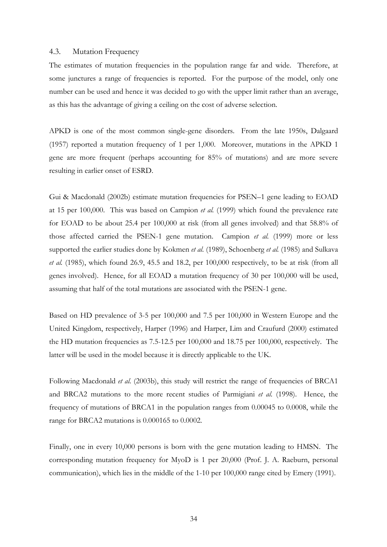## 4.3. Mutation Frequency

The estimates of mutation frequencies in the population range far and wide. Therefore, at some junctures a range of frequencies is reported. For the purpose of the model, only one number can be used and hence it was decided to go with the upper limit rather than an average, as this has the advantage of giving a ceiling on the cost of adverse selection.

APKD is one of the most common single-gene disorders. From the late 1950s, Dalgaard (1957) reported a mutation frequency of 1 per 1,000. Moreover, mutations in the APKD 1 gene are more frequent (perhaps accounting for 85% of mutations) and are more severe resulting in earlier onset of ESRD.

Gui & Macdonald (2002b) estimate mutation frequencies for PSEN–1 gene leading to EOAD at 15 per 100,000. This was based on Campion *et al.* (1999) which found the prevalence rate for EOAD to be about 25.4 per 100,000 at risk (from all genes involved) and that 58.8% of those affected carried the PSEN-1 gene mutation. Campion *et al.* (1999) more or less supported the earlier studies done by Kokmen *et al.* (1989), Schoenberg *et al.* (1985) and Sulkava *et al.* (1985), which found 26.9, 45.5 and 18.2, per 100,000 respectively, to be at risk (from all genes involved). Hence, for all EOAD a mutation frequency of 30 per 100,000 will be used, assuming that half of the total mutations are associated with the PSEN-1 gene.

Based on HD prevalence of 3-5 per 100,000 and 7.5 per 100,000 in Western Europe and the United Kingdom, respectively, Harper (1996) and Harper, Lim and Craufurd (2000) estimated the HD mutation frequencies as 7.5-12.5 per 100,000 and 18.75 per 100,000, respectively. The latter will be used in the model because it is directly applicable to the UK.

Following Macdonald *et al.* (2003b), this study will restrict the range of frequencies of BRCA1 and BRCA2 mutations to the more recent studies of Parmigiani *et al.* (1998). Hence, the frequency of mutations of BRCA1 in the population ranges from 0.00045 to 0.0008, while the range for BRCA2 mutations is 0.000165 to 0.0002.

Finally, one in every 10,000 persons is born with the gene mutation leading to HMSN. The corresponding mutation frequency for MyoD is 1 per 20,000 (Prof. J. A. Raeburn, personal communication), which lies in the middle of the 1-10 per 100,000 range cited by Emery (1991).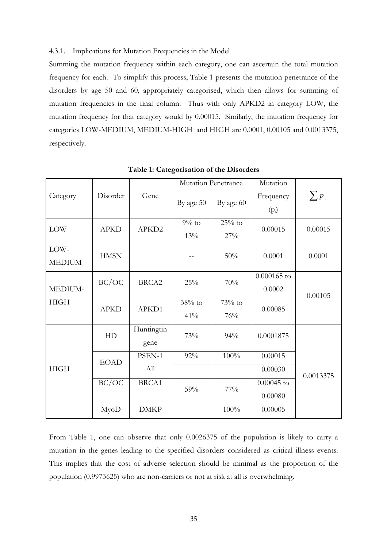#### 4.3.1. Implications for Mutation Frequencies in the Model

Summing the mutation frequency within each category, one can ascertain the total mutation frequency for each. To simplify this process, Table 1 presents the mutation penetrance of the disorders by age 50 and 60, appropriately categorised, which then allows for summing of mutation frequencies in the final column. Thus with only APKD2 in category LOW, the mutation frequency for that category would by 0.00015. Similarly, the mutation frequency for categories LOW-MEDIUM, MEDIUM-HIGH and HIGH are 0.0001, 0.00105 and 0.0013375, respectively.

|                       |             |                    | <b>Mutation Penetrance</b> |                 | Mutation                |            |
|-----------------------|-------------|--------------------|----------------------------|-----------------|-------------------------|------------|
| Category              | Disorder    | Gene               | By age 50                  | By age 60       | Frequency<br>$(p_i)$    | $\sum p_i$ |
| <b>LOW</b>            | <b>APKD</b> | APKD2              | $9\%$ to<br>13%            | $25%$ to<br>27% | 0.00015                 | 0.00015    |
| LOW-<br><b>MEDIUM</b> | <b>HMSN</b> |                    |                            | 50%             | 0.0001                  | 0.0001     |
| MEDIUM-               | BC/OC       | BRCA2              | 25%                        | 70%             | $0.000165$ to<br>0.0002 | 0.00105    |
| <b>HIGH</b>           | <b>APKD</b> | APKD1              | $38%$ to<br>41%            | $73%$ to<br>76% | 0.00085                 |            |
|                       | HD          | Huntingtin<br>gene | 73%                        | 94%             | 0.0001875               |            |
|                       | <b>EOAD</b> | PSEN-1             | 92%                        | 100%            | 0.00015                 |            |
| <b>HIGH</b>           |             | All                |                            |                 | 0.00030                 | 0.0013375  |
|                       | BC/OC       | BRCA1              | $59\%$                     | $77\%$          | $0.00045$ to            |            |
|                       |             |                    |                            |                 | 0.00080                 |            |
|                       | MyoD        | <b>DMKP</b>        |                            | 100%            | 0.00005                 |            |

**Table 1: Categorisation of the Disorders** 

From Table 1, one can observe that only 0.0026375 of the population is likely to carry a mutation in the genes leading to the specified disorders considered as critical illness events. This implies that the cost of adverse selection should be minimal as the proportion of the population (0.9973625) who are non-carriers or not at risk at all is overwhelming.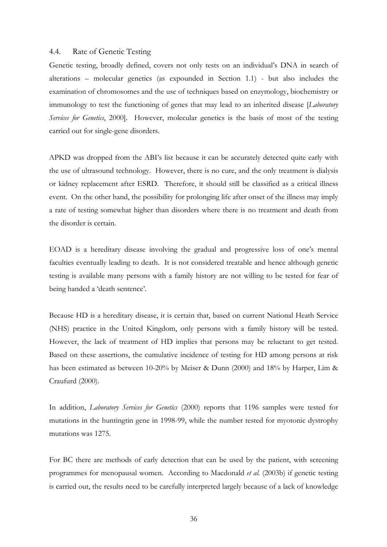#### 4.4. Rate of Genetic Testing

Genetic testing, broadly defined, covers not only tests on an individual's DNA in search of alterations – molecular genetics (as expounded in Section 1.1) - but also includes the examination of chromosomes and the use of techniques based on enzymology, biochemistry or immunology to test the functioning of genes that may lead to an inherited disease [*Laboratory Services for Genetics*, 2000]. However, molecular genetics is the basis of most of the testing carried out for single-gene disorders.

APKD was dropped from the ABI's list because it can be accurately detected quite early with the use of ultrasound technology. However, there is no cure, and the only treatment is dialysis or kidney replacement after ESRD. Therefore, it should still be classified as a critical illness event. On the other hand, the possibility for prolonging life after onset of the illness may imply a rate of testing somewhat higher than disorders where there is no treatment and death from the disorder is certain.

EOAD is a hereditary disease involving the gradual and progressive loss of one's mental faculties eventually leading to death. It is not considered treatable and hence although genetic testing is available many persons with a family history are not willing to be tested for fear of being handed a 'death sentence'.

Because HD is a hereditary disease, it is certain that, based on current National Heath Service (NHS) practice in the United Kingdom, only persons with a family history will be tested. However, the lack of treatment of HD implies that persons may be reluctant to get tested. Based on these assertions, the cumulative incidence of testing for HD among persons at risk has been estimated as between 10-20% by Meiser & Dunn (2000) and 18% by Harper, Lim & Craufurd (2000).

In addition, *Laboratory Services for Genetics* (2000) reports that 1196 samples were tested for mutations in the huntingtin gene in 1998-99, while the number tested for myotonic dystrophy mutations was 1275.

For BC there are methods of early detection that can be used by the patient, with screening programmes for menopausal women. According to Macdonald *et al.* (2003b) if genetic testing is carried out, the results need to be carefully interpreted largely because of a lack of knowledge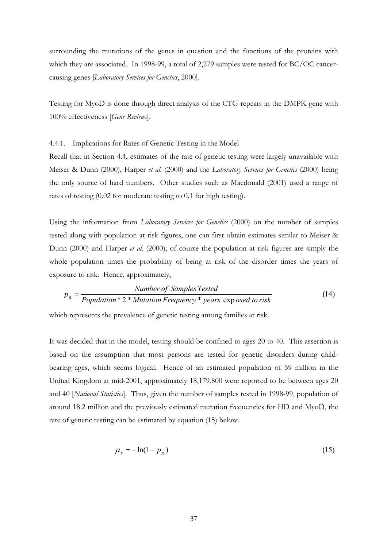surrounding the mutations of the genes in question and the functions of the proteins with which they are associated. In 1998-99, a total of 2,279 samples were tested for BC/OC cancercausing genes [*Laboratory Services for Genetics*, 2000].

Testing for MyoD is done through direct analysis of the CTG repeats in the DMPK gene with 100% effectiveness [*Gene Reviews*].

4.4.1. Implications for Rates of Genetic Testing in the Model

Recall that in Section 4.4, estimates of the rate of genetic testing were largely unavailable with Meiser & Dunn (2000), Harper *et al.* (2000) and the *Laboratory Services for Genetics* (2000) being the only source of hard numbers. Other studies such as Macdonald (2001) used a range of rates of testing (0.02 for moderate testing to 0.1 for high testing).

Using the information from *Laboratory Services for Genetics* (2000) on the number of samples tested along with population at risk figures, one can first obtain estimates similar to Meiser & Dunn (2000) and Harper *et al.* (2000); of course the population at risk figures are simply the whole population times the probability of being at risk of the disorder times the years of exposure to risk. Hence, approximately,

$$
p_g = \frac{Number\ of\ Samples\ Tested}{Population * 2 * Mutation\ Frequency * years\ exposed\ to\ risk} \tag{14}
$$

which represents the prevalence of genetic testing among families at risk.

It was decided that in the model, testing should be confined to ages 20 to 40. This assertion is based on the assumption that most persons are tested for genetic disorders during childbearing ages, which seems logical. Hence of an estimated population of 59 million in the United Kingdom at mid-2001, approximately 18,179,800 were reported to be between ages 20 and 40 [*National Statistics*]. Thus, given the number of samples tested in 1998-99, population of around 18.2 million and the previously estimated mutation frequencies for HD and MyoD, the rate of genetic testing can be estimated by equation (15) below.

$$
\mu_x = -\ln(1 - p_g) \tag{15}
$$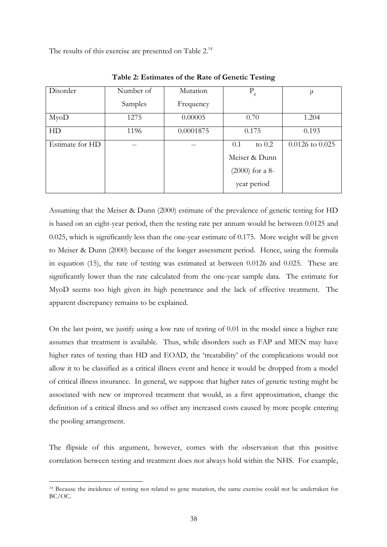The results of this exercise are presented on Table 2.<sup>14</sup>

| Disorder          | Number of | Mutation  | $P_{\rm g}$       | μ                   |
|-------------------|-----------|-----------|-------------------|---------------------|
|                   | Samples   | Frequency |                   |                     |
| M <sub>yo</sub> D | 1275      | 0.00005   | 0.70              | 1.204               |
| HD                | 1196      | 0.0001875 | 0.175             | 0.193               |
| Estimate for HD   | --        |           | 0.1<br>to $0.2$   | $0.0126$ to $0.025$ |
|                   |           |           | Meiser & Dunn     |                     |
|                   |           |           | $(2000)$ for a 8- |                     |
|                   |           |           | year period       |                     |

**Table 2: Estimates of the Rate of Genetic Testing** 

Assuming that the Meiser & Dunn (2000) estimate of the prevalence of genetic testing for HD is based on an eight-year period, then the testing rate per annum would be between 0.0125 and 0.025, which is significantly less than the one-year estimate of 0.175. More weight will be given to Meiser & Dunn (2000) because of the longer assessment period. Hence, using the formula in equation (15), the rate of testing was estimated at between 0.0126 and 0.025. These are significantly lower than the rate calculated from the one-year sample data. The estimate for MyoD seems too high given its high penetrance and the lack of effective treatment. The apparent discrepancy remains to be explained.

On the last point, we justify using a low rate of testing of 0.01 in the model since a higher rate assumes that treatment is available. Thus, while disorders such as FAP and MEN may have higher rates of testing than HD and EOAD, the 'treatability' of the complications would not allow it to be classified as a critical illness event and hence it would be dropped from a model of critical illness insurance. In general, we suppose that higher rates of genetic testing might be associated with new or improved treatment that would, as a first approximation, change the definition of a critical illness and so offset any increased costs caused by more people entering the pooling arrangement.

The flipside of this argument, however, comes with the observation that this positive correlation between testing and treatment does not always hold within the NHS. For example,

 $\overline{a}$ 

<span id="page-37-0"></span><sup>14</sup> Because the incidence of testing not related to gene mutation, the same exercise could not be undertaken for BC/OC.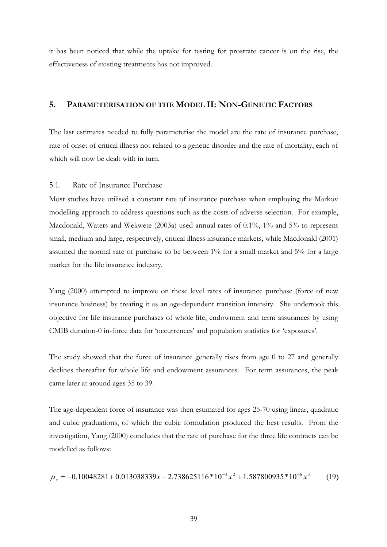it has been noticed that while the uptake for testing for prostrate cancer is on the rise, the effectiveness of existing treatments has not improved.

# **5. PARAMETERISATION OF THE MODEL II: NON-GENETIC FACTORS**

The last estimates needed to fully parameterise the model are the rate of insurance purchase, rate of onset of critical illness not related to a genetic disorder and the rate of mortality, each of which will now be dealt with in turn.

## 5.1. Rate of Insurance Purchase

Most studies have utilised a constant rate of insurance purchase when employing the Markov modelling approach to address questions such as the costs of adverse selection. For example, Macdonald, Waters and Wekwete (2003a) used annual rates of 0.1%, 1% and 5% to represent small, medium and large, respectively, critical illness insurance markets, while Macdonald (2001) assumed the normal rate of purchase to be between 1% for a small market and 5% for a large market for the life insurance industry.

Yang (2000) attempted to improve on these level rates of insurance purchase (force of new insurance business) by treating it as an age-dependent transition intensity. She undertook this objective for life insurance purchases of whole life, endowment and term assurances by using CMIB duration-0 in-force data for 'occurrences' and population statistics for 'exposures'.

The study showed that the force of insurance generally rises from age 0 to 27 and generally declines thereafter for whole life and endowment assurances. For term assurances, the peak came later at around ages 35 to 39.

The age-dependent force of insurance was then estimated for ages 25-70 using linear, quadratic and cubic graduations, of which the cubic formulation produced the best results. From the investigation, Yang (2000) concludes that the rate of purchase for the three life contracts can be modelled as follows:

$$
\mu_x = -0.10048281 + 0.013038339x - 2.738625116 \cdot 10^{-4} x^2 + 1.587800935 \cdot 10^{-6} x^3 \tag{19}
$$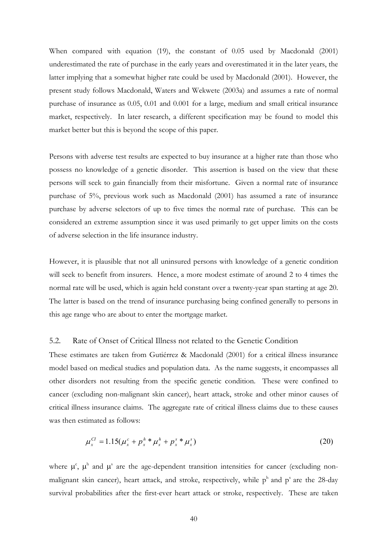When compared with equation (19), the constant of 0.05 used by Macdonald (2001) underestimated the rate of purchase in the early years and overestimated it in the later years, the latter implying that a somewhat higher rate could be used by Macdonald (2001). However, the present study follows Macdonald, Waters and Wekwete (2003a) and assumes a rate of normal purchase of insurance as 0.05, 0.01 and 0.001 for a large, medium and small critical insurance market, respectively. In later research, a different specification may be found to model this market better but this is beyond the scope of this paper.

Persons with adverse test results are expected to buy insurance at a higher rate than those who possess no knowledge of a genetic disorder. This assertion is based on the view that these persons will seek to gain financially from their misfortune. Given a normal rate of insurance purchase of 5%, previous work such as Macdonald (2001) has assumed a rate of insurance purchase by adverse selectors of up to five times the normal rate of purchase. This can be considered an extreme assumption since it was used primarily to get upper limits on the costs of adverse selection in the life insurance industry.

However, it is plausible that not all uninsured persons with knowledge of a genetic condition will seek to benefit from insurers. Hence, a more modest estimate of around 2 to 4 times the normal rate will be used, which is again held constant over a twenty-year span starting at age 20. The latter is based on the trend of insurance purchasing being confined generally to persons in this age range who are about to enter the mortgage market.

## 5.2. Rate of Onset of Critical Illness not related to the Genetic Condition

These estimates are taken from Gutiérrez & Macdonald (2001) for a critical illness insurance model based on medical studies and population data. As the name suggests, it encompasses all other disorders not resulting from the specific genetic condition. These were confined to cancer (excluding non-malignant skin cancer), heart attack, stroke and other minor causes of critical illness insurance claims. The aggregate rate of critical illness claims due to these causes was then estimated as follows:

$$
\mu_x^{CI} = 1.15(\mu_x^c + p_x^h * \mu_x^h + p_x^s * \mu_x^s)
$$
\n(20)

where  $\mu^c$ ,  $\mu^h$  and  $\mu^s$  are the age-dependent transition intensities for cancer (excluding nonmalignant skin cancer), heart attack, and stroke, respectively, while  $p^h$  and  $p^s$  are the 28-day survival probabilities after the first-ever heart attack or stroke, respectively. These are taken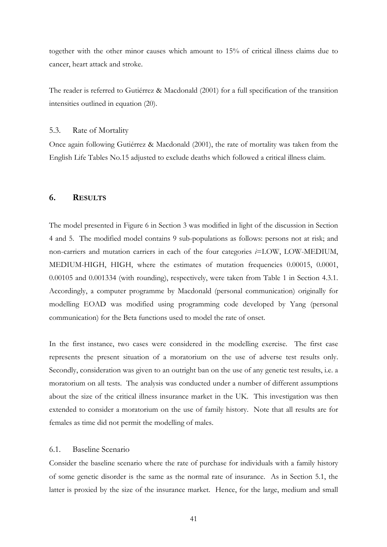together with the other minor causes which amount to 15% of critical illness claims due to cancer, heart attack and stroke.

The reader is referred to Gutiérrez & Macdonald (2001) for a full specification of the transition intensities outlined in equation (20).

#### 5.3. Rate of Mortality

Once again following Gutiérrez & Macdonald (2001), the rate of mortality was taken from the English Life Tables No.15 adjusted to exclude deaths which followed a critical illness claim.

# **6. RESULTS**

The model presented in Figure 6 in Section 3 was modified in light of the discussion in Section 4 and 5. The modified model contains 9 sub-populations as follows: persons not at risk; and non-carriers and mutation carriers in each of the four categories *i*=LOW, LOW-MEDIUM, MEDIUM-HIGH, HIGH, where the estimates of mutation frequencies 0.00015, 0.0001, 0.00105 and 0.001334 (with rounding), respectively, were taken from Table 1 in Section 4.3.1. Accordingly, a computer programme by Macdonald (personal communication) originally for modelling EOAD was modified using programming code developed by Yang (personal communication) for the Beta functions used to model the rate of onset.

In the first instance, two cases were considered in the modelling exercise. The first case represents the present situation of a moratorium on the use of adverse test results only. Secondly, consideration was given to an outright ban on the use of any genetic test results, i.e. a moratorium on all tests. The analysis was conducted under a number of different assumptions about the size of the critical illness insurance market in the UK. This investigation was then extended to consider a moratorium on the use of family history. Note that all results are for females as time did not permit the modelling of males.

## 6.1. Baseline Scenario

Consider the baseline scenario where the rate of purchase for individuals with a family history of some genetic disorder is the same as the normal rate of insurance. As in Section 5.1, the latter is proxied by the size of the insurance market. Hence, for the large, medium and small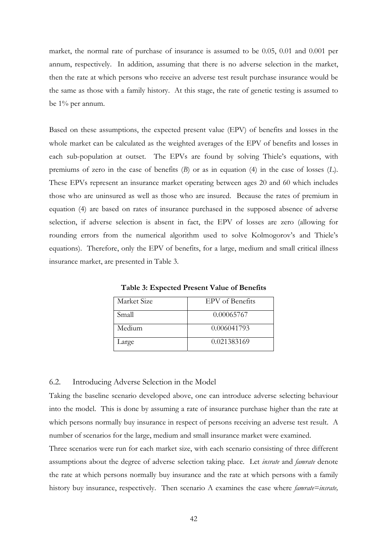market, the normal rate of purchase of insurance is assumed to be 0.05, 0.01 and 0.001 per annum, respectively. In addition, assuming that there is no adverse selection in the market, then the rate at which persons who receive an adverse test result purchase insurance would be the same as those with a family history. At this stage, the rate of genetic testing is assumed to be 1% per annum.

Based on these assumptions, the expected present value (EPV) of benefits and losses in the whole market can be calculated as the weighted averages of the EPV of benefits and losses in each sub-population at outset. The EPVs are found by solving Thiele's equations, with premiums of zero in the case of benefits (*B*) or as in equation (4) in the case of losses (*L*). These EPVs represent an insurance market operating between ages 20 and 60 which includes those who are uninsured as well as those who are insured. Because the rates of premium in equation (4) are based on rates of insurance purchased in the supposed absence of adverse selection, if adverse selection is absent in fact, the EPV of losses are zero (allowing for rounding errors from the numerical algorithm used to solve Kolmogorov's and Thiele's equations). Therefore, only the EPV of benefits, for a large, medium and small critical illness insurance market, are presented in Table 3.

| Market Size | EPV of Benefits |
|-------------|-----------------|
| Small       | 0.00065767      |
| Medium      | 0.006041793     |
| Large       | 0.021383169     |

**Table 3: Expected Present Value of Benefits** 

## 6.2. Introducing Adverse Selection in the Model

Taking the baseline scenario developed above, one can introduce adverse selecting behaviour into the model. This is done by assuming a rate of insurance purchase higher than the rate at which persons normally buy insurance in respect of persons receiving an adverse test result. A number of scenarios for the large, medium and small insurance market were examined.

Three scenarios were run for each market size, with each scenario consisting of three different assumptions about the degree of adverse selection taking place. Let *insrate* and *famrate* denote the rate at which persons normally buy insurance and the rate at which persons with a family history buy insurance, respectively. Then scenario A examines the case where *famrate=insrate,*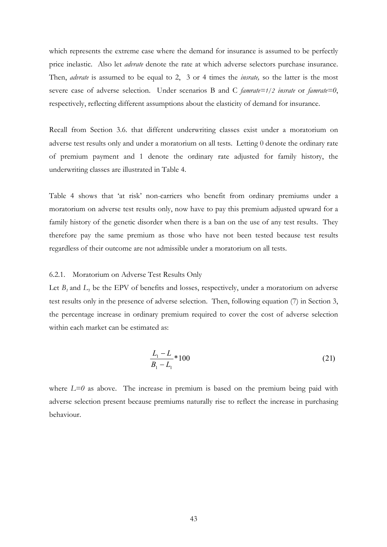which represents the extreme case where the demand for insurance is assumed to be perfectly price inelastic. Also let *advrate* denote the rate at which adverse selectors purchase insurance. Then, *advrate* is assumed to be equal to 2, 3 or 4 times the *insrate,* so the latter is the most severe case of adverse selection. Under scenarios B and C *famrate=1/2 insrate* or *famrate=0*, respectively, reflecting different assumptions about the elasticity of demand for insurance.

Recall from Section 3.6. that different underwriting classes exist under a moratorium on adverse test results only and under a moratorium on all tests. Letting 0 denote the ordinary rate of premium payment and 1 denote the ordinary rate adjusted for family history, the underwriting classes are illustrated in Table 4.

Table 4 shows that 'at risk' non-carriers who benefit from ordinary premiums under a moratorium on adverse test results only, now have to pay this premium adjusted upward for a family history of the genetic disorder when there is a ban on the use of any test results. They therefore pay the same premium as those who have not been tested because test results regardless of their outcome are not admissible under a moratorium on all tests.

#### 6.2.1. Moratorium on Adverse Test Results Only

Let  $B_t$  and  $L_t$  be the EPV of benefits and losses, respectively, under a moratorium on adverse test results only in the presence of adverse selection. Then, following equation (7) in Section 3, the percentage increase in ordinary premium required to cover the cost of adverse selection within each market can be estimated as:

$$
\frac{L_1 - L}{B_1 - L_1} * 100\tag{21}
$$

where  $L=0$  as above. The increase in premium is based on the premium being paid with adverse selection present because premiums naturally rise to reflect the increase in purchasing behaviour.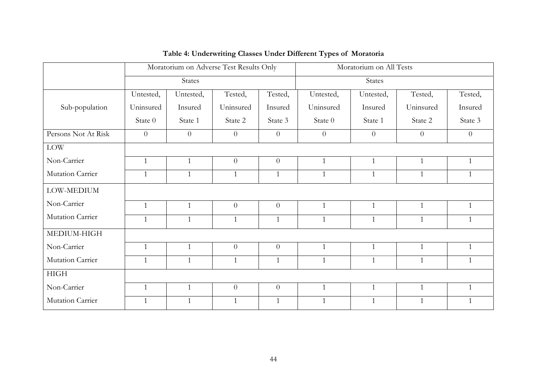|                     | Moratorium on Adverse Test Results Only |              |                | Moratorium on All Tests |                |                |                |                |
|---------------------|-----------------------------------------|--------------|----------------|-------------------------|----------------|----------------|----------------|----------------|
|                     | <b>States</b>                           |              |                | States                  |                |                |                |                |
|                     | Untested,                               | Untested,    | Tested,        | Tested,                 | Untested,      | Untested,      | Tested,        | Tested,        |
| Sub-population      | Uninsured                               | Insured      | Uninsured      | Insured                 | Uninsured      | Insured        | Uninsured      | Insured        |
|                     | State 0                                 | State 1      | State 2        | State 3                 | State 0        | State 1        | State 2        | State 3        |
| Persons Not At Risk | $\overline{0}$                          | $\theta$     | $\overline{0}$ | $\overline{0}$          | $\overline{0}$ | $\overline{0}$ | $\overline{0}$ | $\overline{0}$ |
| $\rm{LOW}$          |                                         |              |                |                         |                |                |                |                |
| Non-Carrier         | $\mathbf{1}$                            | $\mathbf{1}$ | $\overline{0}$ | $\theta$                | $\mathbf{1}$   | $\mathbf{1}$   | $\mathbf{1}$   | $\mathbf{1}$   |
| Mutation Carrier    | $\mathbf{1}$                            | $\mathbf{1}$ | $\mathbf{1}$   | $\mathbf{1}$            | $\mathbf{1}$   | $\mathbf{1}$   | $\mathbf{1}$   | $\mathbf{1}$   |
| LOW-MEDIUM          |                                         |              |                |                         |                |                |                |                |
| Non-Carrier         | $\mathbf{1}$                            | $\mathbf{1}$ | $\overline{0}$ | $\overline{0}$          | $\mathbf{1}$   | $\mathbf{1}$   | $\mathbf{1}$   | $\mathbf{1}$   |
| Mutation Carrier    | $\mathbf{1}$                            | $\mathbf{1}$ | $\mathbf{1}$   | $\mathbf{1}$            | $\mathbf{1}$   | $\mathbf{1}$   | $\mathbf{1}$   | $\mathbf{1}$   |
| MEDIUM-HIGH         |                                         |              |                |                         |                |                |                |                |
| Non-Carrier         | $\mathbf{1}$                            | $\mathbf{1}$ | $\overline{0}$ | $\overline{0}$          | $\mathbf{1}$   | $\mathbf{1}$   | $\mathbf{1}$   | $\mathbf{1}$   |
| Mutation Carrier    | $\mathbf{1}$                            | $\mathbf{1}$ | $\mathbf{1}$   | $\mathbf{1}$            | $\mathbf{1}$   | $\mathbf{1}$   | $\mathbf{1}$   | $\mathbf{1}$   |
| <b>HIGH</b>         |                                         |              |                |                         |                |                |                |                |
| Non-Carrier         | $\mathbf{1}$                            | $\mathbf{1}$ | $\overline{0}$ | $\overline{0}$          | $\mathbf{1}$   | $\mathbf{1}$   | $\mathbf{1}$   | $\mathbf{1}$   |
| Mutation Carrier    | $\mathbf{1}$                            | $\mathbf{1}$ | $\mathbf{1}$   | 1                       | $\mathbf{1}$   | $\mathbf{1}$   | $\mathbf{1}$   | $\mathbf{1}$   |

# **Table 4: Underwriting Classes Under Different Types of Moratoria**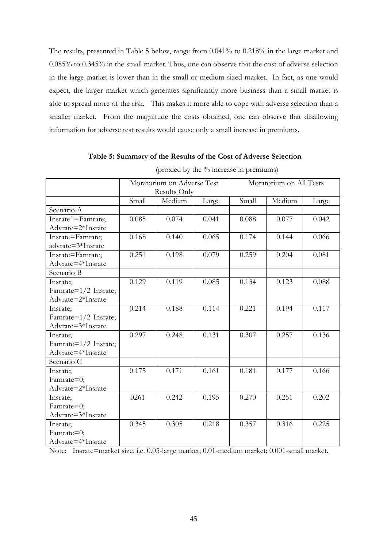The results, presented in Table 5 below, range from 0.041% to 0.218% in the large market and 0.085% to 0.345% in the small market. Thus, one can observe that the cost of adverse selection in the large market is lower than in the small or medium-sized market. In fact, as one would expect, the larger market which generates significantly more business than a small market is able to spread more of the risk. This makes it more able to cope with adverse selection than a smaller market. From the magnitude the costs obtained, one can observe that disallowing information for adverse test results would cause only a small increase in premiums.

# **Table 5: Summary of the Results of the Cost of Adverse Selection**

|                      | Moratorium on Adverse Test |        |       | Moratorium on All Tests |        |       |
|----------------------|----------------------------|--------|-------|-------------------------|--------|-------|
|                      | Results Only               |        |       |                         |        |       |
|                      | Small                      | Medium | Large | Small                   | Medium | Large |
| Scenario A           |                            |        |       |                         |        |       |
| Insrate^=Famrate;    | 0.085                      | 0.074  | 0.041 | 0.088                   | 0.077  | 0.042 |
| Advrate=2*Insrate    |                            |        |       |                         |        |       |
| Insrate=Famrate;     | 0.168                      | 0.140  | 0.065 | 0.174                   | 0.144  | 0.066 |
| advrate=3*Insrate    |                            |        |       |                         |        |       |
| Insrate=Famrate;     | 0.251                      | 0.198  | 0.079 | 0.259                   | 0.204  | 0.081 |
| Advrate=4*Insrate    |                            |        |       |                         |        |       |
| Scenario B           |                            |        |       |                         |        |       |
| Insrate;             | 0.129                      | 0.119  | 0.085 | 0.134                   | 0.123  | 0.088 |
| Famrate=1/2 Insrate; |                            |        |       |                         |        |       |
| Advrate=2*Insrate    |                            |        |       |                         |        |       |
| Insrate;             | 0.214                      | 0.188  | 0.114 | 0.221                   | 0.194  | 0.117 |
| Famrate=1/2 Insrate; |                            |        |       |                         |        |       |
| Advrate=3*Insrate    |                            |        |       |                         |        |       |
| Insrate;             | 0.297                      | 0.248  | 0.131 | 0.307                   | 0.257  | 0.136 |
| Famrate=1/2 Insrate; |                            |        |       |                         |        |       |
| Advrate=4*Insrate    |                            |        |       |                         |        |       |
| Scenario C           |                            |        |       |                         |        |       |
| Insrate;             | 0.175                      | 0.171  | 0.161 | 0.181                   | 0.177  | 0.166 |
| Famrate=0;           |                            |        |       |                         |        |       |
| Advrate=2*Insrate    |                            |        |       |                         |        |       |
| Insrate;             | 0261                       | 0.242  | 0.195 | 0.270                   | 0.251  | 0.202 |
| Famrate=0;           |                            |        |       |                         |        |       |
| Advrate=3*Insrate    |                            |        |       |                         |        |       |
| Insrate;             | 0.345                      | 0.305  | 0.218 | 0.357                   | 0.316  | 0.225 |
| Famrate=0;           |                            |        |       |                         |        |       |
| Advrate=4*Insrate    |                            |        |       |                         |        |       |

(proxied by the % increase in premiums)

Note: Insrate=market size, i.e. 0.05-large market; 0.01-medium market; 0.001-small market.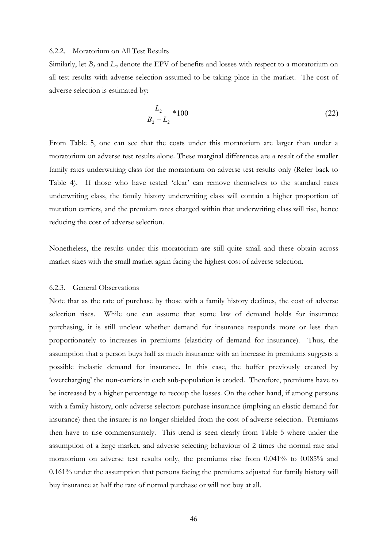#### 6.2.2. Moratorium on All Test Results

Similarly, let  $B_2$  and  $L_2$  denote the EPV of benefits and losses with respect to a moratorium on all test results with adverse selection assumed to be taking place in the market. The cost of adverse selection is estimated by:

$$
\frac{L_2}{B_2 - L_2} * 100
$$
 (22)

From Table 5, one can see that the costs under this moratorium are larger than under a moratorium on adverse test results alone. These marginal differences are a result of the smaller family rates underwriting class for the moratorium on adverse test results only (Refer back to Table 4). If those who have tested 'clear' can remove themselves to the standard rates underwriting class, the family history underwriting class will contain a higher proportion of mutation carriers, and the premium rates charged within that underwriting class will rise, hence reducing the cost of adverse selection.

Nonetheless, the results under this moratorium are still quite small and these obtain across market sizes with the small market again facing the highest cost of adverse selection.

#### 6.2.3. General Observations

Note that as the rate of purchase by those with a family history declines, the cost of adverse selection rises. While one can assume that some law of demand holds for insurance purchasing, it is still unclear whether demand for insurance responds more or less than proportionately to increases in premiums (elasticity of demand for insurance). Thus, the assumption that a person buys half as much insurance with an increase in premiums suggests a possible inelastic demand for insurance. In this case, the buffer previously created by 'overcharging' the non-carriers in each sub-population is eroded. Therefore, premiums have to be increased by a higher percentage to recoup the losses. On the other hand, if among persons with a family history, only adverse selectors purchase insurance (implying an elastic demand for insurance) then the insurer is no longer shielded from the cost of adverse selection. Premiums then have to rise commensurately. This trend is seen clearly from Table 5 where under the assumption of a large market, and adverse selecting behaviour of 2 times the normal rate and moratorium on adverse test results only, the premiums rise from 0.041% to 0.085% and 0.161% under the assumption that persons facing the premiums adjusted for family history will buy insurance at half the rate of normal purchase or will not buy at all.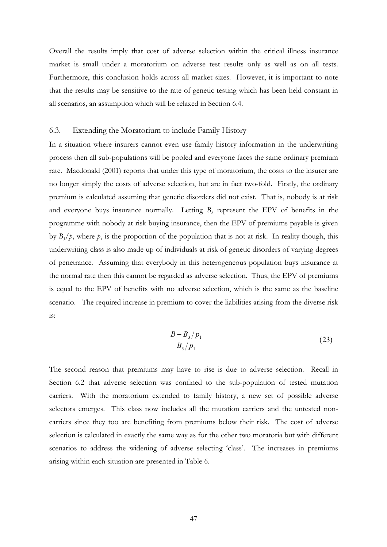Overall the results imply that cost of adverse selection within the critical illness insurance market is small under a moratorium on adverse test results only as well as on all tests. Furthermore, this conclusion holds across all market sizes. However, it is important to note that the results may be sensitive to the rate of genetic testing which has been held constant in all scenarios, an assumption which will be relaxed in Section 6.4.

#### 6.3. Extending the Moratorium to include Family History

In a situation where insurers cannot even use family history information in the underwriting process then all sub-populations will be pooled and everyone faces the same ordinary premium rate. Macdonald (2001) reports that under this type of moratorium, the costs to the insurer are no longer simply the costs of adverse selection, but are in fact two-fold. Firstly, the ordinary premium is calculated assuming that genetic disorders did not exist. That is, nobody is at risk and everyone buys insurance normally. Letting  $B_3$  represent the EPV of benefits in the programme with nobody at risk buying insurance, then the EPV of premiums payable is given by  $B_3/p_1$  where  $p_1$  is the proportion of the population that is not at risk. In reality though, this underwriting class is also made up of individuals at risk of genetic disorders of varying degrees of penetrance. Assuming that everybody in this heterogeneous population buys insurance at the normal rate then this cannot be regarded as adverse selection. Thus, the EPV of premiums is equal to the EPV of benefits with no adverse selection, which is the same as the baseline scenario.The required increase in premium to cover the liabilities arising from the diverse risk is:

$$
\frac{B - B_3/p_1}{B_3/p_1} \tag{23}
$$

The second reason that premiums may have to rise is due to adverse selection. Recall in Section 6.2 that adverse selection was confined to the sub-population of tested mutation carriers. With the moratorium extended to family history, a new set of possible adverse selectors emerges. This class now includes all the mutation carriers and the untested noncarriers since they too are benefiting from premiums below their risk. The cost of adverse selection is calculated in exactly the same way as for the other two moratoria but with different scenarios to address the widening of adverse selecting 'class'. The increases in premiums arising within each situation are presented in Table 6.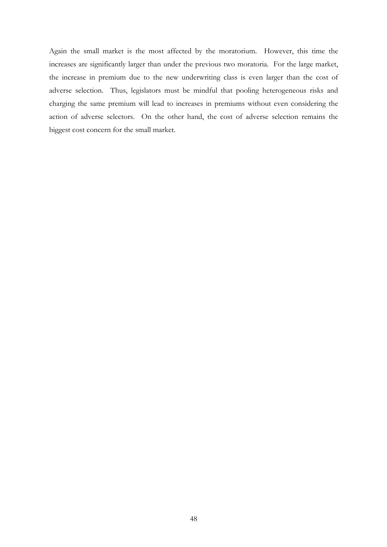Again the small market is the most affected by the moratorium. However, this time the increases are significantly larger than under the previous two moratoria. For the large market, the increase in premium due to the new underwriting class is even larger than the cost of adverse selection. Thus, legislators must be mindful that pooling heterogeneous risks and charging the same premium will lead to increases in premiums without even considering the action of adverse selectors. On the other hand, the cost of adverse selection remains the biggest cost concern for the small market.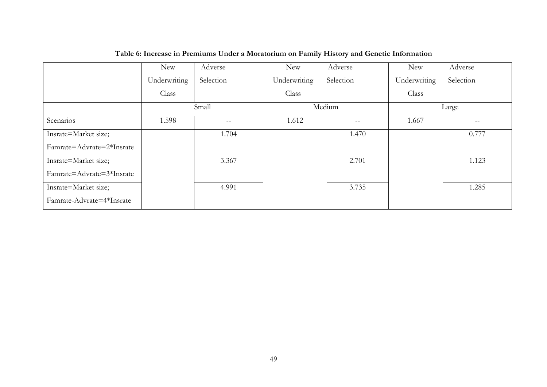|                           | <b>New</b>   | Adverse   | <b>New</b>   | Adverse   | <b>New</b>   | Adverse                                             |
|---------------------------|--------------|-----------|--------------|-----------|--------------|-----------------------------------------------------|
|                           | Underwriting | Selection | Underwriting | Selection | Underwriting | Selection                                           |
|                           | Class        |           | Class        |           | Class        |                                                     |
|                           |              | Small     |              | Medium    |              | Large                                               |
| Scenarios                 | 1.598        | $- -$     | 1.612        | $-\,-$    | 1.667        | $\hspace{0.05cm} -\hspace{0.05cm} -\hspace{0.05cm}$ |
| Insrate=Market size;      |              | 1.704     |              | 1.470     |              | 0.777                                               |
| Famrate=Advrate=2*Insrate |              |           |              |           |              |                                                     |
| Insrate=Market size;      |              | 3.367     |              | 2.701     |              | 1.123                                               |
| Famrate=Advrate=3*Insrate |              |           |              |           |              |                                                     |
| Insrate=Market size;      |              | 4.991     |              | 3.735     |              | 1.285                                               |
| Famrate-Advrate=4*Insrate |              |           |              |           |              |                                                     |

# **Table 6: Increase in Premiums Under a Moratorium on Family History and Genetic Information**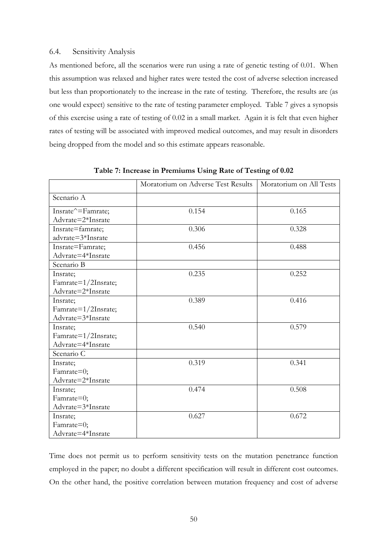## 6.4. Sensitivity Analysis

As mentioned before, all the scenarios were run using a rate of genetic testing of 0.01. When this assumption was relaxed and higher rates were tested the cost of adverse selection increased but less than proportionately to the increase in the rate of testing. Therefore, the results are (as one would expect) sensitive to the rate of testing parameter employed. Table 7 gives a synopsis of this exercise using a rate of testing of 0.02 in a small market. Again it is felt that even higher rates of testing will be associated with improved medical outcomes, and may result in disorders being dropped from the model and so this estimate appears reasonable.

|                     | Moratorium on Adverse Test Results | Moratorium on All Tests |
|---------------------|------------------------------------|-------------------------|
| Scenario A          |                                    |                         |
| Insrate^=Famrate;   | 0.154                              | 0.165                   |
| Advrate=2*Insrate   |                                    |                         |
| Insrate=famrate;    | 0.306                              | 0.328                   |
| advrate=3*Insrate   |                                    |                         |
| Insrate=Famrate;    | 0.456                              | 0.488                   |
| Advrate=4*Insrate   |                                    |                         |
| Scenario B          |                                    |                         |
| Insrate;            | 0.235                              | 0.252                   |
| Famrate=1/2Insrate; |                                    |                         |
| Advrate=2*Insrate   |                                    |                         |
| Insrate;            | 0.389                              | 0.416                   |
| Famrate=1/2Insrate; |                                    |                         |
| Advrate=3*Insrate   |                                    |                         |
| Insrate;            | 0.540                              | 0.579                   |
| Famrate=1/2Insrate; |                                    |                         |
| Advrate=4*Insrate   |                                    |                         |
| Scenario C          |                                    |                         |
| Insrate;            | 0.319                              | 0.341                   |
| Famrate=0;          |                                    |                         |
| Advrate=2*Insrate   |                                    |                         |
| Insrate;            | 0.474                              | 0.508                   |
| Famrate=0;          |                                    |                         |
| Advrate=3*Insrate   |                                    |                         |
| Insrate;            | 0.627                              | 0.672                   |
| Famrate=0;          |                                    |                         |
| Advrate=4*Insrate   |                                    |                         |

**Table 7: Increase in Premiums Using Rate of Testing of 0.02** 

Time does not permit us to perform sensitivity tests on the mutation penetrance function employed in the paper; no doubt a different specification will result in different cost outcomes. On the other hand, the positive correlation between mutation frequency and cost of adverse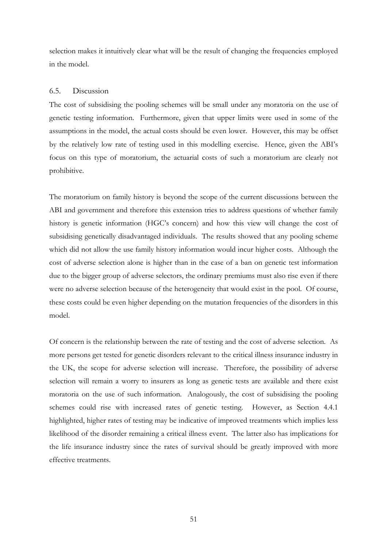selection makes it intuitively clear what will be the result of changing the frequencies employed in the model.

# 6.5. Discussion

The cost of subsidising the pooling schemes will be small under any moratoria on the use of genetic testing information. Furthermore, given that upper limits were used in some of the assumptions in the model, the actual costs should be even lower. However, this may be offset by the relatively low rate of testing used in this modelling exercise. Hence, given the ABI's focus on this type of moratorium, the actuarial costs of such a moratorium are clearly not prohibitive.

The moratorium on family history is beyond the scope of the current discussions between the ABI and government and therefore this extension tries to address questions of whether family history is genetic information (HGC's concern) and how this view will change the cost of subsidising genetically disadvantaged individuals. The results showed that any pooling scheme which did not allow the use family history information would incur higher costs. Although the cost of adverse selection alone is higher than in the case of a ban on genetic test information due to the bigger group of adverse selectors, the ordinary premiums must also rise even if there were no adverse selection because of the heterogeneity that would exist in the pool. Of course, these costs could be even higher depending on the mutation frequencies of the disorders in this model.

Of concern is the relationship between the rate of testing and the cost of adverse selection. As more persons get tested for genetic disorders relevant to the critical illness insurance industry in the UK, the scope for adverse selection will increase. Therefore, the possibility of adverse selection will remain a worry to insurers as long as genetic tests are available and there exist moratoria on the use of such information. Analogously, the cost of subsidising the pooling schemes could rise with increased rates of genetic testing. However, as Section 4.4.1 highlighted, higher rates of testing may be indicative of improved treatments which implies less likelihood of the disorder remaining a critical illness event. The latter also has implications for the life insurance industry since the rates of survival should be greatly improved with more effective treatments.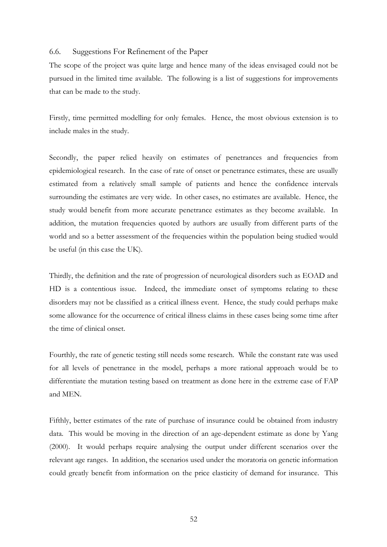## 6.6. Suggestions For Refinement of the Paper

The scope of the project was quite large and hence many of the ideas envisaged could not be pursued in the limited time available. The following is a list of suggestions for improvements that can be made to the study.

Firstly, time permitted modelling for only females. Hence, the most obvious extension is to include males in the study.

Secondly, the paper relied heavily on estimates of penetrances and frequencies from epidemiological research. In the case of rate of onset or penetrance estimates, these are usually estimated from a relatively small sample of patients and hence the confidence intervals surrounding the estimates are very wide. In other cases, no estimates are available. Hence, the study would benefit from more accurate penetrance estimates as they become available. In addition, the mutation frequencies quoted by authors are usually from different parts of the world and so a better assessment of the frequencies within the population being studied would be useful (in this case the UK).

Thirdly, the definition and the rate of progression of neurological disorders such as EOAD and HD is a contentious issue. Indeed, the immediate onset of symptoms relating to these disorders may not be classified as a critical illness event. Hence, the study could perhaps make some allowance for the occurrence of critical illness claims in these cases being some time after the time of clinical onset.

Fourthly, the rate of genetic testing still needs some research. While the constant rate was used for all levels of penetrance in the model, perhaps a more rational approach would be to differentiate the mutation testing based on treatment as done here in the extreme case of FAP and MEN.

Fifthly, better estimates of the rate of purchase of insurance could be obtained from industry data. This would be moving in the direction of an age-dependent estimate as done by Yang (2000). It would perhaps require analysing the output under different scenarios over the relevant age ranges. In addition, the scenarios used under the moratoria on genetic information could greatly benefit from information on the price elasticity of demand for insurance. This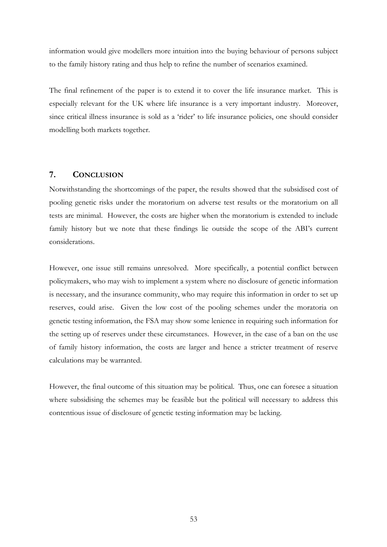information would give modellers more intuition into the buying behaviour of persons subject to the family history rating and thus help to refine the number of scenarios examined.

The final refinement of the paper is to extend it to cover the life insurance market. This is especially relevant for the UK where life insurance is a very important industry. Moreover, since critical illness insurance is sold as a 'rider' to life insurance policies, one should consider modelling both markets together.

# **7. CONCLUSION**

Notwithstanding the shortcomings of the paper, the results showed that the subsidised cost of pooling genetic risks under the moratorium on adverse test results or the moratorium on all tests are minimal. However, the costs are higher when the moratorium is extended to include family history but we note that these findings lie outside the scope of the ABI's current considerations.

However, one issue still remains unresolved. More specifically, a potential conflict between policymakers, who may wish to implement a system where no disclosure of genetic information is necessary, and the insurance community, who may require this information in order to set up reserves, could arise. Given the low cost of the pooling schemes under the moratoria on genetic testing information, the FSA may show some lenience in requiring such information for the setting up of reserves under these circumstances. However, in the case of a ban on the use of family history information, the costs are larger and hence a stricter treatment of reserve calculations may be warranted.

However, the final outcome of this situation may be political. Thus, one can foresee a situation where subsidising the schemes may be feasible but the political will necessary to address this contentious issue of disclosure of genetic testing information may be lacking.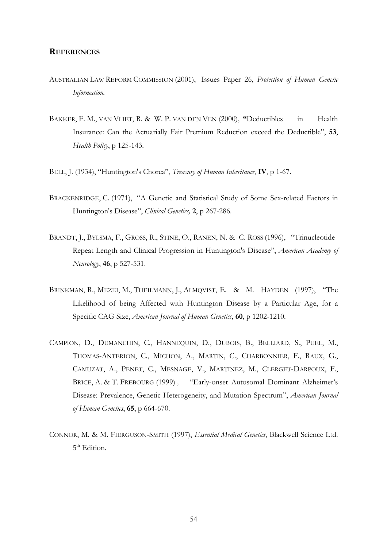# **REFERENCES**

- AUSTRALIAN LAW REFORM COMMISSION (2001), Issues Paper 26, *Protection of Human Genetic Information.*
- BAKKER, F. M., VAN VLIET, R. & W. P. VAN DEN VEN (2000), **"**Deductibles in Health Insurance: Can the Actuarially Fair Premium Reduction exceed the Deductible", **53**, *Health Policy*, p 125-143.
- BELL, J. (1934), "Huntington's Chorea", *Treasury of Human Inheritance*, **IV**, p 1-67.
- BRACKENRIDGE, C. (1971), "A Genetic and Statistical Study of Some Sex-related Factors in Huntington's Disease", *Clinical Genetics,* **2**, p 267-286.
- BRANDT, J., BYLSMA, F., GROSS, R., STINE, O., RANEN, N. & C. ROSS (1996), "Trinucleotide Repeat Length and Clinical Progression in Huntington's Disease", *American Academy of Neurology*, **46**, p 527-531.
- BRINKMAN, R., MEZEI, M., THEILMANN, J., ALMOVIST, E. & M. HAYDEN (1997), "The Likelihood of being Affected with Huntington Disease by a Particular Age, for a Specific CAG Size, *American Journal of Human Genetics*, **60**, p 1202-1210.
- CAMPION, D., DUMANCHIN, C., HANNEQUIN, D., DUBOIS, B., BELLIARD, S., PUEL, M., THOMAS-ANTERION, C., MICHON, A., MARTIN, C., CHARBONNIER, F., RAUX, G., CAMUZAT, A., PENET, C., MESNAGE, V., MARTINEZ, M., CLERGET-DARPOUX, F., BRICE, A. & T. FREBOURG (1999) *,* "Early-onset Autosomal Dominant Alzheimer's Disease: Prevalence, Genetic Heterogeneity, and Mutation Spectrum", *American Journal of Human Genetics*, **65**, p 664-670.
- CONNOR, M. & M. FIERGUSON-SMITH (1997), *Essential Medical Genetics*, Blackwell Science Ltd. 5<sup>th</sup> Edition.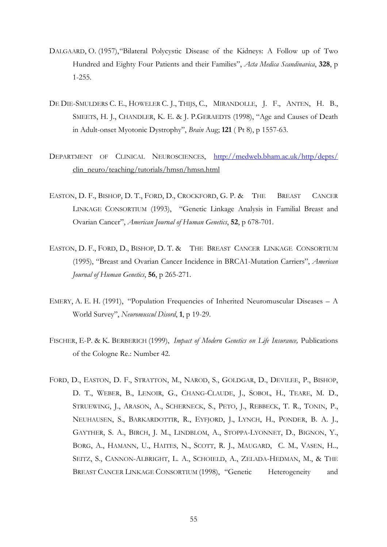- DALGAARD, O. (1957), "Bilateral Polycystic Disease of the Kidneys: A Follow up of Two Hundred and Eighty Four Patients and their Families", *Acta Medica Scandinavica*, **328**, p 1-255.
- DE DIE-SMULDERS C. E., HOWELER C. J., THIJS, C., MIRANDOLLE, J. F., ANTEN, H. B., SMEETS, H. J., CHANDLER, K. E. & J. P.GERAEDTS (1998), "Age and Causes of Death in Adult-onset Myotonic Dystrophy", *Brain* Aug; **121** ( Pt 8), p 1557-63.
- DEPARTMENT OF CLINICAL NEUROSCIENCES, <http://medweb.bham.ac.uk/http/depts/> clin\_neuro/teaching/tutorials/hmsn/hmsn.html
- EASTON, D. F., BISHOP, D. T., FORD, D., CROCKFORD, G. P. & THE BREAST CANCER LINKAGE CONSORTIUM (1993), "Genetic Linkage Analysis in Familial Breast and Ovarian Cancer", *American Journal of Human Genetics*, **52**, p 678-701.
- EASTON, D. F., FORD, D., BISHOP, D. T. & THE BREAST CANCER LINKAGE CONSORTIUM (1995), "Breast and Ovarian Cancer Incidence in BRCA1-Mutation Carriers", *American Journal of Human Genetics*, **56**, p 265-271.
- EMERY, A. E. H. (1991), "Population Frequencies of Inherited Neuromuscular Diseases A World Survey", *Neuromuscul Disord*, **1**, p 19-29.
- FISCHER, E-P. & K. BERBERICH (1999), *Impact of Modern Genetics on Life Insurance,* Publications of the Cologne Re.: Number 42.
- FORD, D., EASTON, D. F., STRATTON, M., NAROD, S., GOLDGAR, D., DEVILEE, P., BISHOP, D. T., WEBER, B., LENOIR, G., CHANG-CLAUDE, J., SOBOL, H., TEARE, M. D., STRUEWING, J., ARASON, A., SCHERNECK, S., PETO, J., REBBECK, T. R., TONIN, P., NEUHAUSEN, S., BARKARDOTTIR, R., EYFJORD, J., LYNCH, H., PONDER, B. A. J., GAYTHER, S. A., BIRCH, J. M., LINDBLOM, A., STOPPA-LYONNET, D., BIGNON, Y., BORG, A., HAMANN, U., HAITES, N., SCOTT, R. J., MAUGARD, C. M., VASEN, H.., SEITZ, S., CANNON-ALBRIGHT, L. A., SCHOIELD, A., ZELADA-HEDMAN, M., & THE BREAST CANCER LINKAGE CONSORTIUM (1998), "Genetic Heterogeneity and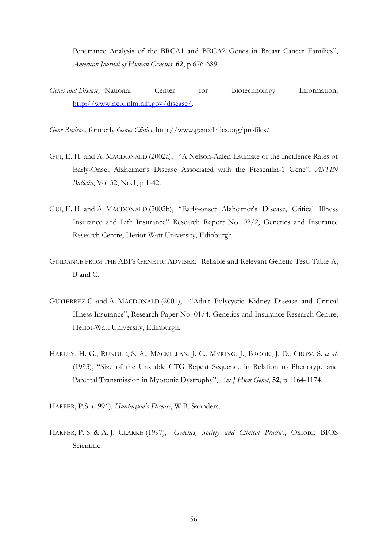Penetrance Analysis of the BRCA1 and BRCA2 Genes in Breast Cancer Families", *American Journal of Human Genetics,* **62**, p 676-689.

*Genes and Disease,* National Center for Biotechnology Information, [http://www.ncbi.nlm.nih.gov/disease/.](http://www.ncbi.nlm.nih.gov/disease/)

*Gene Reviews*, formerly *Genes Clinics*, http://www.geneclinics.org/profiles/.

- GUI, E. H. and A. MACDONALD (2002a), "A Nelson-Aalen Estimate of the Incidence Rates of Early-Onset Alzheimer's Disease Associated with the Presenilin-1 Gene", *ASTIN Bulletin*, Vol 32, No.1, p 1-42.
- GUI, E. H. and A. MACDONALD (2002b), "Early-onset Alzheimer's Disease, Critical Illness Insurance and Life Insurance" Research Report No. 02/2, Genetics and Insurance Research Centre, Heriot-Watt University, Edinburgh.
- GUIDANCE FROM THE ABI'S GENETIC ADVISER: Reliable and Relevant Genetic Test, Table A, B and C.
- GUTIÉRREZ C. and A. MACDONALD (2001), "Adult Polycystic Kidney Disease and Critical Illness Insurance", Research Paper No. 01/4, Genetics and Insurance Research Centre, Heriot-Watt University, Edinburgh.
- HARLEY, H. G., RUNDLE, S. A., MACMILLAN, J. C., MYRING, J., BROOK, J. D., CROW. S. *et al*. (1993), "Size of the Unstable CTG Repeat Sequence in Relation to Phenotype and Parental Transmission in Myotonic Dystrophy", *Am J Hum Genet*, **52**, p 1164-1174.
- HARPER, P.S. (1996), *Huntington's Disease*, W.B. Saunders.
- HARPER, P. S. & A. J. CLARKE (1997), *Genetics, Society and Clinical Practice*, Oxford: BIOS Scientific.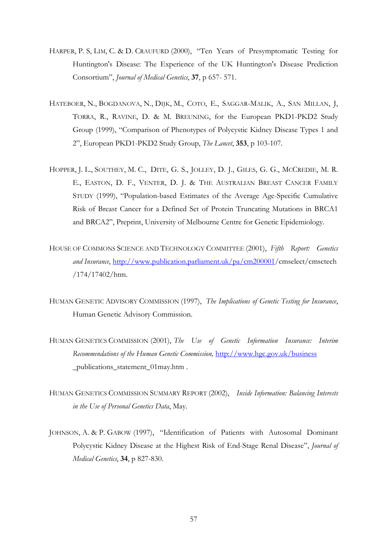- HARPER, P. S, LIM, C. & D. CRAUFURD (2000), "Ten Years of Presymptomatic Testing for Huntington's Disease: The Experience of the UK Huntington's Disease Prediction Consortium", *Journal of Medical Genetics*, **37**, p 657- 571.
- HATEBOER, N., BOGDANOVA, N., DIJK, M., COTO, E., SAGGAR-MALIK, A., SAN MILLAN, J, TORRA, R., RAVINE, D. & M. BREUNING, for the European PKD1-PKD2 Study Group (1999), "Comparison of Phenotypes of Polycystic Kidney Disease Types 1 and 2", European PKD1-PKD2 Study Group, *The Lancet*, **353**, p 103-107.
- HOPPER, J. L., SOUTHEY, M. C., DITE, G. S., JOLLEY, D. J., GILES, G. G., MCCREDIE, M. R. E., EASTON, D. F., VENTER, D. J. & THE AUSTRALIAN BREAST CANCER FAMILY STUDY (1999), "Population-based Estimates of the Average Age-Specific Cumulative Risk of Breast Cancer for a Defined Set of Protein Truncating Mutations in BRCA1 and BRCA2", Preprint, University of Melbourne Centre for Genetic Epidemiology.
- HOUSE OF COMMONS SCIENCE AND TECHNOLOGY COMMITTEE (2001), *Fifth Report: Genetics and Insurance*, [http://www.publication.parliament.uk/pa/cm200001/](http://www.publication.parliament.uk/pa/cm200001/cmseleect/cmsctech/174/17402/htm)cmselect/cmsctech /174/17402/htm.
- HUMAN GENETIC ADVISORY COMMISSION (1997), *The Implications of Genetic Testing for Insurance*, Human Genetic Advisory Commission.
- HUMAN GENETICS COMMISSION (2001), *The Use of Genetic Information Insurance: Interim Recommendations of the Human Genetic Commission,* <http://www.hgc.gov.uk/business> \_publications\_statement\_01may.htm .
- HUMAN GENETICS COMMISSION SUMMARY REPORT (2002), *Inside Information: Balancing Interests in the Use of Personal Genetics Data*, May.
- JOHNSON, A. & P. GABOW (1997), "Identification of Patients with Autosomal Dominant Polycystic Kidney Disease at the Highest Risk of End-Stage Renal Disease", *Journal of Medical Genetics*, **34**, p 827-830.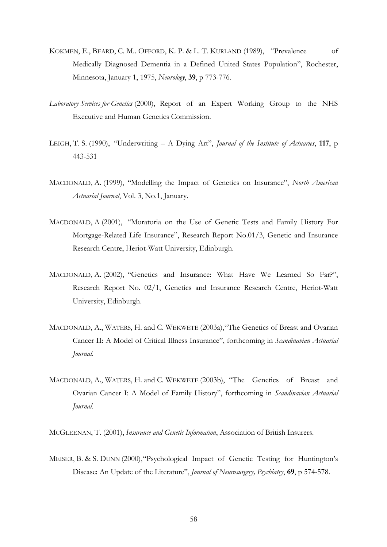- KOKMEN, E., BEARD, C. M.. OFFORD, K. P. & L. T. KURLAND (1989), "Prevalence of Medically Diagnosed Dementia in a Defined United States Population", Rochester, Minnesota, January 1, 1975, *Neurology*, **39**, p 773-776.
- *Laboratory Services for Genetics* (2000), Report of an Expert Working Group to the NHS Executive and Human Genetics Commission.
- LEIGH, T. S. (1990), "Underwriting A Dying Art", *Journal of the Institute of Actuaries*, **117**, p 443-531
- MACDONALD, A. (1999), "Modelling the Impact of Genetics on Insurance", *North American Actuarial Journal*, Vol. 3, No.1, January.
- MACDONALD, A (2001), "Moratoria on the Use of Genetic Tests and Family History For Mortgage-Related Life Insurance", Research Report No.01/3, Genetic and Insurance Research Centre, Heriot-Watt University, Edinburgh.
- MACDONALD, A. (2002), "Genetics and Insurance: What Have We Learned So Far?", Research Report No. 02/1, Genetics and Insurance Research Centre, Heriot-Watt University, Edinburgh.
- MACDONALD, A., WATERS, H. and C. WEKWETE (2003a), "The Genetics of Breast and Ovarian Cancer II: A Model of Critical Illness Insurance", forthcoming in *Scandinavian Actuarial Journal*.
- MACDONALD, A., WATERS, H. and C. WEKWETE (2003b), "The Genetics of Breast and Ovarian Cancer I: A Model of Family History", forthcoming in *Scandinavian Actuarial Journal*.
- MCGLEENAN, T. (2001), *Insurance and Genetic Information*, Association of British Insurers.
- MEISER, B. & S. DUNN (2000), "Psychological Impact of Genetic Testing for Huntington's Disease: An Update of the Literature", *Journal of Neurosurgery, Psychiatry*, **69**, p 574-578.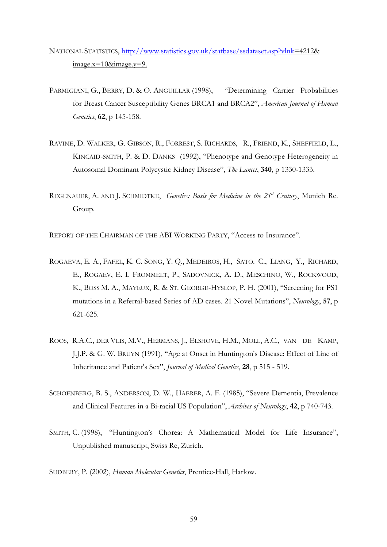- NATIONAL STATISTICS, <http://www.statistics.gov.uk/statbase/ssdataset.asp?vlnk>=4212&  $image.x=10& \text{image.y}=9.$
- PARMIGIANI, G., BERRY, D. & O. ANGUILLAR (1998), "Determining Carrier Probabilities for Breast Cancer Susceptibility Genes BRCA1 and BRCA2", *American Journal of Human Genetics*, **62**, p 145-158.
- RAVINE, D. WALKER, G. GIBSON, R., FORREST, S. RICHARDS, R., FRIEND, K., SHEFFIELD, L., KINCAID-SMITH, P. & D. DANKS (1992), "Phenotype and Genotype Heterogeneity in Autosomal Dominant Polycystic Kidney Disease", *The Lancet*, **340**, p 1330-1333.
- REGENAUER, A. AND J. SCHMIDTKE, *Genetics: Basis for Medicine in the 21<sup>st</sup> Century*, Munich Re. Group.

REPORT OF THE CHAIRMAN OF THE ABI WORKING PARTY, "Access to Insurance".

- ROGAEVA, E. A., FAFEL, K. C. SONG, Y. Q., MEDEIROS, H., SATO. C., LIANG, Y., RICHARD, E., ROGAEV, E. I. FROMMELT, P., SADOVNICK, A. D., MESCHINO, W., ROCKWOOD, K., BOSS M. A., MAYEUX, R. & ST. GEORGE-HYSLOP, P. H. (2001), "Screening for PS1 mutations in a Referral-based Series of AD cases. 21 Novel Mutations", *Neurology*, **57**, p 621-625.
- ROOS, R.A.C., DER VLIS, M.V., HERMANS, J., ELSHOVE, H.M., MOLL, A.C., VAN DE KAMP, J.J.P. & G. W. BRUYN (1991), "Age at Onset in Huntington's Disease: Effect of Line of Inheritance and Patient's Sex", *Journal of Medical Genetics*, **28**, p 515 - 519.
- SCHOENBERG, B. S., ANDERSON, D. W., HAERER, A. F. (1985), "Severe Dementia, Prevalence and Clinical Features in a Bi-racial US Population", *Archives of Neurology*, **42**, p 740-743.
- SMITH, C. (1998), "Huntington's Chorea: A Mathematical Model for Life Insurance", Unpublished manuscript, Swiss Re, Zurich.

SUDBERY, P. (2002), *Human Molecular Genetics*, Prentice-Hall, Harlow.